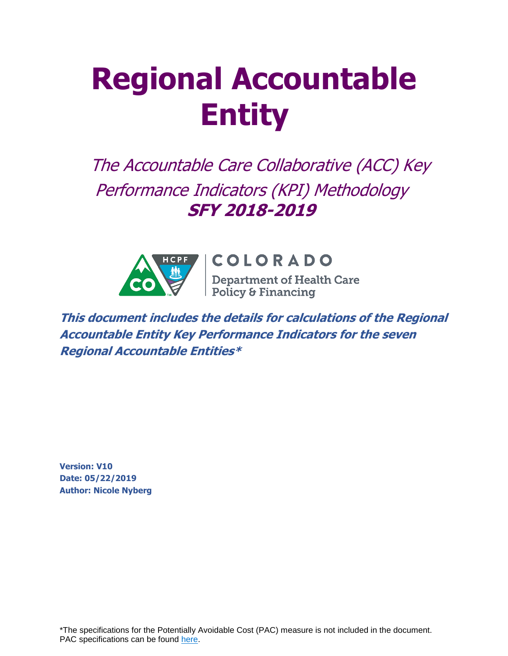# **Regional Accountable Entity**

The Accountable Care Collaborative (ACC) Key Performance Indicators (KPI) Methodology **SFY 2018-2019**



COLORADO

**Department of Health Care<br>Policy & Financing** 

**This document includes the details for calculations of the Regional Accountable Entity Key Performance Indicators for the seven Regional Accountable Entities\***

**Version: V10 Date: 05/22/2019 Author: Nicole Nyberg**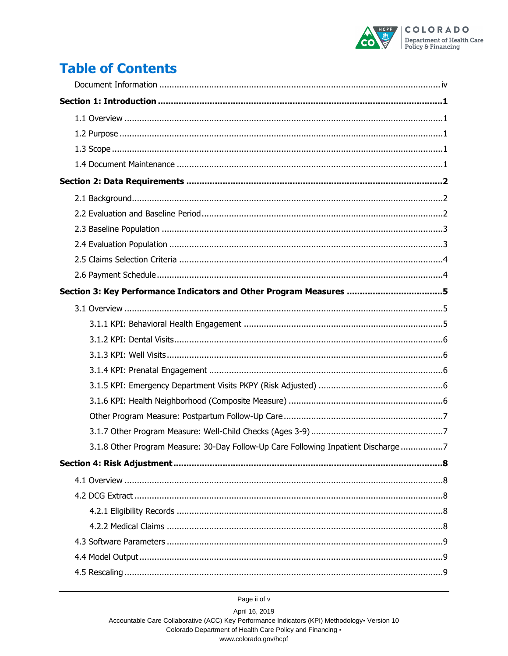

# **Table of Contents**

<span id="page-1-0"></span>

| Section 3: Key Performance Indicators and Other Program Measures 5                 |  |
|------------------------------------------------------------------------------------|--|
|                                                                                    |  |
|                                                                                    |  |
|                                                                                    |  |
|                                                                                    |  |
|                                                                                    |  |
|                                                                                    |  |
|                                                                                    |  |
|                                                                                    |  |
|                                                                                    |  |
| 3.1.8 Other Program Measure: 30-Day Follow-Up Care Following Inpatient Discharge 7 |  |
|                                                                                    |  |
|                                                                                    |  |
|                                                                                    |  |
|                                                                                    |  |
|                                                                                    |  |
|                                                                                    |  |
|                                                                                    |  |
|                                                                                    |  |

Page ii of v

April 16, 2019 Accountable Care Collaborative (ACC) Key Performance Indicators (KPI) Methodology Version 10 Colorado Department of Health Care Policy and Financing . www.colorado.gov/hcpf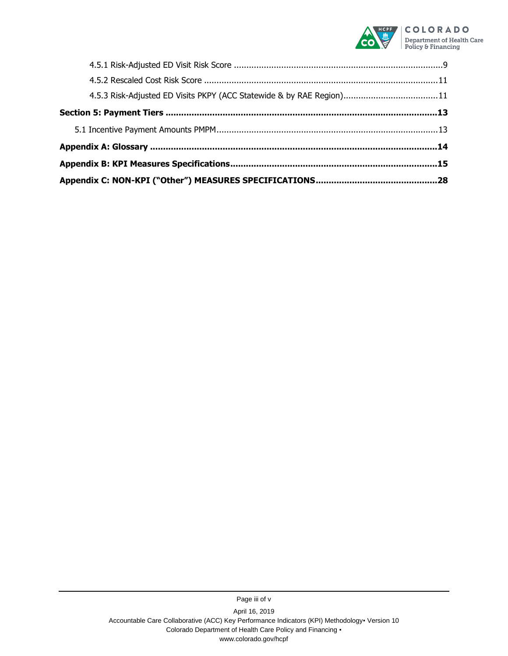

| 4.5.3 Risk-Adjusted ED Visits PKPY (ACC Statewide & by RAE Region)11 |  |
|----------------------------------------------------------------------|--|
|                                                                      |  |
|                                                                      |  |

Page iii of v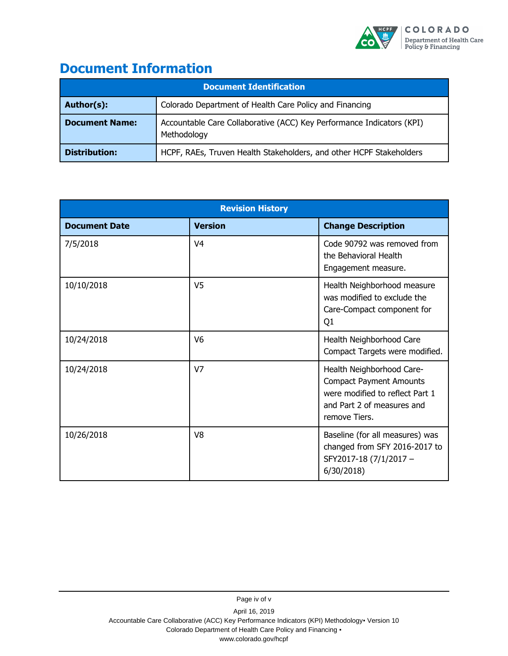

# <span id="page-3-0"></span>**Document Information**

| <b>Document Identification</b> |                                                                                      |  |  |  |
|--------------------------------|--------------------------------------------------------------------------------------|--|--|--|
| Author(s):                     | Colorado Department of Health Care Policy and Financing                              |  |  |  |
| <b>Document Name:</b>          | Accountable Care Collaborative (ACC) Key Performance Indicators (KPI)<br>Methodology |  |  |  |
| <b>Distribution:</b>           | HCPF, RAEs, Truven Health Stakeholders, and other HCPF Stakeholders                  |  |  |  |

| <b>Revision History</b> |                |                                                                                                                                               |  |  |
|-------------------------|----------------|-----------------------------------------------------------------------------------------------------------------------------------------------|--|--|
| <b>Document Date</b>    | <b>Version</b> | <b>Change Description</b>                                                                                                                     |  |  |
| 7/5/2018                | V <sub>4</sub> | Code 90792 was removed from<br>the Behavioral Health<br>Engagement measure.                                                                   |  |  |
| 10/10/2018              | V <sub>5</sub> | Health Neighborhood measure<br>was modified to exclude the<br>Care-Compact component for<br>Q <sub>1</sub>                                    |  |  |
| 10/24/2018              | V <sub>6</sub> | Health Neighborhood Care<br>Compact Targets were modified.                                                                                    |  |  |
| 10/24/2018              | V <sub>7</sub> | Health Neighborhood Care-<br><b>Compact Payment Amounts</b><br>were modified to reflect Part 1<br>and Part 2 of measures and<br>remove Tiers. |  |  |
| 10/26/2018              | V <sub>8</sub> | Baseline (for all measures) was<br>changed from SFY 2016-2017 to<br>SFY2017-18 (7/1/2017 -<br>6/30/2018                                       |  |  |

Page iv of v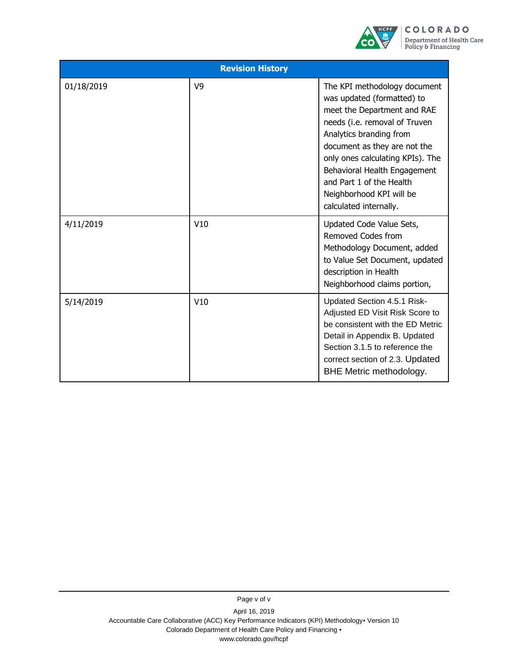

| <b>Revision History</b> |                |                                                                                                                                                                                                                                                                                                                                             |  |  |  |
|-------------------------|----------------|---------------------------------------------------------------------------------------------------------------------------------------------------------------------------------------------------------------------------------------------------------------------------------------------------------------------------------------------|--|--|--|
| 01/18/2019              | V <sub>9</sub> | The KPI methodology document<br>was updated (formatted) to<br>meet the Department and RAE<br>needs (i.e. removal of Truven<br>Analytics branding from<br>document as they are not the<br>only ones calculating KPIs). The<br>Behavioral Health Engagement<br>and Part 1 of the Health<br>Neighborhood KPI will be<br>calculated internally. |  |  |  |
| 4/11/2019               | V10            | Updated Code Value Sets,<br>Removed Codes from<br>Methodology Document, added<br>to Value Set Document, updated<br>description in Health<br>Neighborhood claims portion,                                                                                                                                                                    |  |  |  |
| 5/14/2019               | V10            | Updated Section 4.5.1 Risk-<br>Adjusted ED Visit Risk Score to<br>be consistent with the ED Metric<br>Detail in Appendix B. Updated<br>Section 3.1.5 to reference the<br>correct section of 2.3. Updated<br>BHE Metric methodology.                                                                                                         |  |  |  |

Page v of v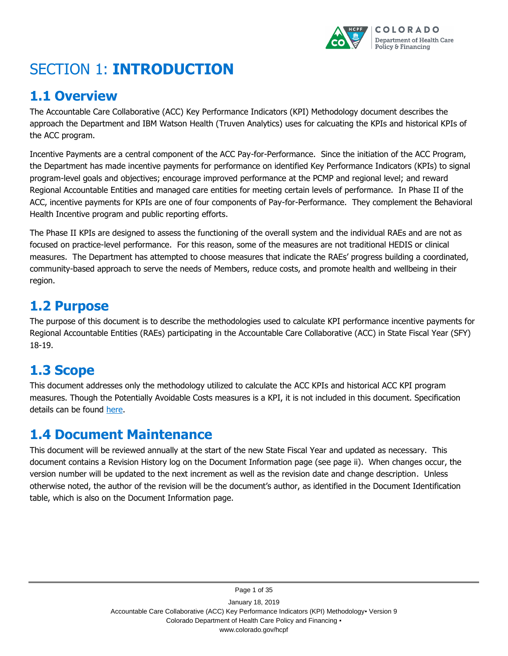

# <span id="page-5-0"></span>SECTION 1: **INTRODUCTION**

# <span id="page-5-1"></span>**1.1 Overview**

The Accountable Care Collaborative (ACC) Key Performance Indicators (KPI) Methodology document describes the approach the Department and IBM Watson Health (Truven Analytics) uses for calcuating the KPIs and historical KPIs of the ACC program.

Incentive Payments are a central component of the ACC Pay-for-Performance. Since the initiation of the ACC Program, the Department has made incentive payments for performance on identified Key Performance Indicators (KPIs) to signal program-level goals and objectives; encourage improved performance at the PCMP and regional level; and reward Regional Accountable Entities and managed care entities for meeting certain levels of performance. In Phase II of the ACC, incentive payments for KPIs are one of four components of Pay-for-Performance. They complement the Behavioral Health Incentive program and public reporting efforts.

The Phase II KPIs are designed to assess the functioning of the overall system and the individual RAEs and are not as focused on practice-level performance. For this reason, some of the measures are not traditional HEDIS or clinical measures. The Department has attempted to choose measures that indicate the RAEs' progress building a coordinated, community-based approach to serve the needs of Members, reduce costs, and promote health and wellbeing in their region.

### <span id="page-5-2"></span>**1.2 Purpose**

The purpose of this document is to describe the methodologies used to calculate KPI performance incentive payments for Regional Accountable Entities (RAEs) participating in the Accountable Care Collaborative (ACC) in State Fiscal Year (SFY) 18-19.

# <span id="page-5-3"></span>**1.3 Scope**

This document addresses only the methodology utilized to calculate the ACC KPIs and historical ACC KPI program measures. Though the Potentially Avoidable Costs measures is a KPI, it is not included in this document. Specification details can be found [here.](https://cohcpf.sharepoint.com/sites/RAE/DataAnalytics/Forms/AllItems.aspx?id=%2Fsites%2FRAE%2FDataAnalytics%2FRAE%20PAC%20KPI%20Spec%2Epdf&parent=%2Fsites%2FRAE%2FDataAnalytics)

# <span id="page-5-4"></span>**1.4 Document Maintenance**

This document will be reviewed annually at the start of the new State Fiscal Year and updated as necessary. This document contains a Revision History log on the Document Information page (see page [ii\)](#page-1-0). When changes occur, the version number will be updated to the next increment as well as the revision date and change description. Unless otherwise noted, the author of the revision will be the document's author, as identified in the Document Identification table, which is also on the Document Information page.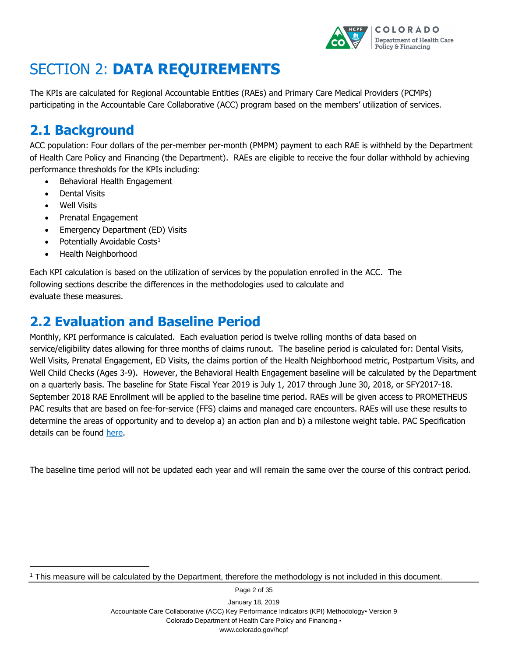

# <span id="page-6-0"></span>SECTION 2: **DATA REQUIREMENTS**

The KPIs are calculated for Regional Accountable Entities (RAEs) and Primary Care Medical Providers (PCMPs) participating in the Accountable Care Collaborative (ACC) program based on the members' utilization of services.

# <span id="page-6-1"></span>**2.1 Background**

ACC population: Four dollars of the per-member per-month (PMPM) payment to each RAE is withheld by the Department of Health Care Policy and Financing (the Department). RAEs are eligible to receive the four dollar withhold by achieving performance thresholds for the KPIs including:

- Behavioral Health Engagement
- Dental Visits
- Well Visits

l

- Prenatal Engagement
- Emergency Department (ED) Visits
- Potentially Avoidable Costs<sup>1</sup>
- Health Neighborhood

Each KPI calculation is based on the utilization of services by the population enrolled in the ACC. The following sections describe the differences in the methodologies used to calculate and evaluate these measures.

# <span id="page-6-2"></span>**2.2 Evaluation and Baseline Period**

Monthly, KPI performance is calculated. Each evaluation period is twelve rolling months of data based on service/eligibility dates allowing for three months of claims runout. The baseline period is calculated for: Dental Visits, Well Visits, Prenatal Engagement, ED Visits, the claims portion of the Health Neighborhood metric, Postpartum Visits, and Well Child Checks (Ages 3-9). However, the Behavioral Health Engagement baseline will be calculated by the Department on a quarterly basis. The baseline for State Fiscal Year 2019 is July 1, 2017 through June 30, 2018, or SFY2017-18. September 2018 RAE Enrollment will be applied to the baseline time period. RAEs will be given access to PROMETHEUS PAC results that are based on fee-for-service (FFS) claims and managed care encounters. RAEs will use these results to determine the areas of opportunity and to develop a) an action plan and b) a milestone weight table. PAC Specification details can be found [here.](https://cohcpf.sharepoint.com/sites/RAE/DataAnalytics/Forms/AllItems.aspx?id=%2Fsites%2FRAE%2FDataAnalytics%2FRAE%20PAC%20KPI%20Spec%2Epdf&parent=%2Fsites%2FRAE%2FDataAnalytics)

The baseline time period will not be updated each year and will remain the same over the course of this contract period.

January 18, 2019 Accountable Care Collaborative (ACC) Key Performance Indicators (KPI) Methodology▪ Version 9 Colorado Department of Health Care Policy and Financing ▪ www.colorado.gov/hcpf

Page 2 of 35

<sup>1</sup> This measure will be calculated by the Department, therefore the methodology is not included in this document.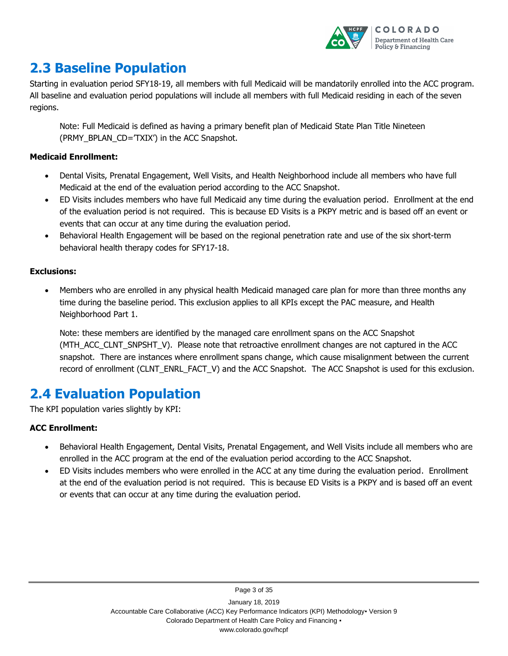

# <span id="page-7-0"></span>**2.3 Baseline Population**

Starting in evaluation period SFY18-19, all members with full Medicaid will be mandatorily enrolled into the ACC program. All baseline and evaluation period populations will include all members with full Medicaid residing in each of the seven regions.

Note: Full Medicaid is defined as having a primary benefit plan of Medicaid State Plan Title Nineteen (PRMY\_BPLAN\_CD='TXIX') in the ACC Snapshot.

#### **Medicaid Enrollment:**

- Dental Visits, Prenatal Engagement, Well Visits, and Health Neighborhood include all members who have full Medicaid at the end of the evaluation period according to the ACC Snapshot.
- ED Visits includes members who have full Medicaid any time during the evaluation period. Enrollment at the end of the evaluation period is not required. This is because ED Visits is a PKPY metric and is based off an event or events that can occur at any time during the evaluation period.
- Behavioral Health Engagement will be based on the regional penetration rate and use of the six short-term behavioral health therapy codes for SFY17-18.

#### **Exclusions:**

• Members who are enrolled in any physical health Medicaid managed care plan for more than three months any time during the baseline period. This exclusion applies to all KPIs except the PAC measure, and Health Neighborhood Part 1.

Note: these members are identified by the managed care enrollment spans on the ACC Snapshot (MTH\_ACC\_CLNT\_SNPSHT\_V). Please note that retroactive enrollment changes are not captured in the ACC snapshot. There are instances where enrollment spans change, which cause misalignment between the current record of enrollment (CLNT\_ENRL\_FACT\_V) and the ACC Snapshot. The ACC Snapshot is used for this exclusion.

# <span id="page-7-1"></span>**2.4 Evaluation Population**

The KPI population varies slightly by KPI:

#### **ACC Enrollment:**

- Behavioral Health Engagement, Dental Visits, Prenatal Engagement, and Well Visits include all members who are enrolled in the ACC program at the end of the evaluation period according to the ACC Snapshot.
- ED Visits includes members who were enrolled in the ACC at any time during the evaluation period. Enrollment at the end of the evaluation period is not required. This is because ED Visits is a PKPY and is based off an event or events that can occur at any time during the evaluation period.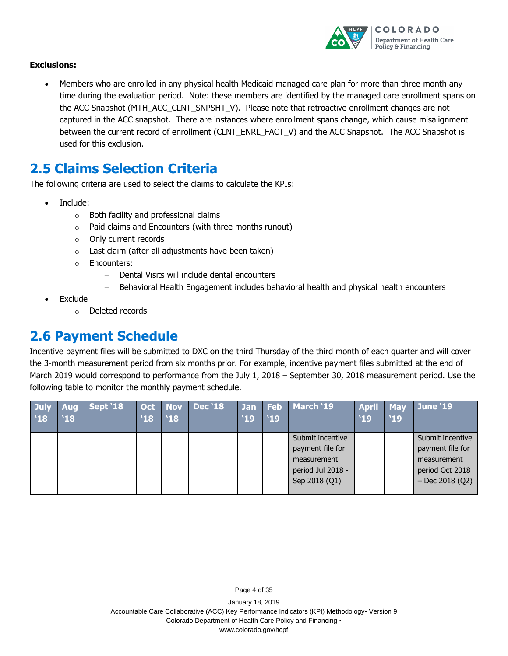

#### **Exclusions:**

• Members who are enrolled in any physical health Medicaid managed care plan for more than three month any time during the evaluation period. Note: these members are identified by the managed care enrollment spans on the ACC Snapshot (MTH\_ACC\_CLNT\_SNPSHT\_V). Please note that retroactive enrollment changes are not captured in the ACC snapshot. There are instances where enrollment spans change, which cause misalignment between the current record of enrollment (CLNT\_ENRL\_FACT\_V) and the ACC Snapshot. The ACC Snapshot is used for this exclusion.

# <span id="page-8-0"></span>**2.5 Claims Selection Criteria**

The following criteria are used to select the claims to calculate the KPIs:

- Include:
	- o Both facility and professional claims
	- o Paid claims and Encounters (with three months runout)
	- o Only current records
	- o Last claim (after all adjustments have been taken)
	- o Encounters:
		- − Dental Visits will include dental encounters
		- Behavioral Health Engagement includes behavioral health and physical health encounters
- **Exclude** 
	- o Deleted records

# <span id="page-8-1"></span>**2.6 Payment Schedule**

Incentive payment files will be submitted to DXC on the third Thursday of the third month of each quarter and will cover the 3-month measurement period from six months prior. For example, incentive payment files submitted at the end of March 2019 would correspond to performance from the July 1, 2018 – September 30, 2018 measurement period. Use the following table to monitor the monthly payment schedule.

| Jul | <b>Aug</b> | <b>Sept '18</b> |     | <b>Oct</b> Nov | Dec '18 | Jan | $\blacksquare$ Feb | March '19         | <b>April</b> | <b>May</b> | <b>June '19</b>   |
|-----|------------|-----------------|-----|----------------|---------|-----|--------------------|-------------------|--------------|------------|-------------------|
| '18 | <b>'18</b> |                 | '18 | '18            |         | '19 | $^119$             |                   | '19          | '19        |                   |
|     |            |                 |     |                |         |     |                    | Submit incentive  |              |            | Submit incentive  |
|     |            |                 |     |                |         |     |                    |                   |              |            |                   |
|     |            |                 |     |                |         |     |                    | payment file for  |              |            | payment file for  |
|     |            |                 |     |                |         |     |                    | measurement       |              |            | measurement       |
|     |            |                 |     |                |         |     |                    | period Jul 2018 - |              |            | period Oct 2018   |
|     |            |                 |     |                |         |     |                    | Sep 2018 (Q1)     |              |            | $-$ Dec 2018 (Q2) |
|     |            |                 |     |                |         |     |                    |                   |              |            |                   |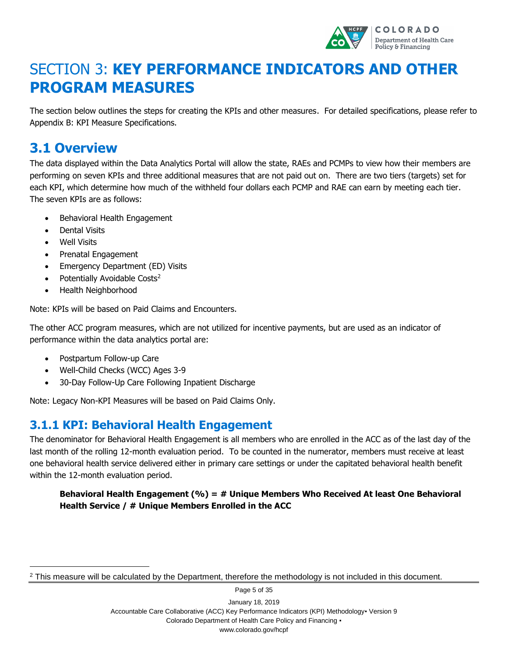

# <span id="page-9-0"></span>SECTION 3: **KEY PERFORMANCE INDICATORS AND OTHER PROGRAM MEASURES**

The section below outlines the steps for creating the KPIs and other measures. For detailed specifications, please refer to Appendix B: KPI Measure Specifications.

# <span id="page-9-1"></span>**3.1 Overview**

The data displayed within the Data Analytics Portal will allow the state, RAEs and PCMPs to view how their members are performing on seven KPIs and three additional measures that are not paid out on. There are two tiers (targets) set for each KPI, which determine how much of the withheld four dollars each PCMP and RAE can earn by meeting each tier. The seven KPIs are as follows:

- Behavioral Health Engagement
- Dental Visits
- Well Visits

l

- Prenatal Engagement
- Emergency Department (ED) Visits
- Potentially Avoidable Costs<sup>2</sup>
- Health Neighborhood

Note: KPIs will be based on Paid Claims and Encounters.

The other ACC program measures, which are not utilized for incentive payments, but are used as an indicator of performance within the data analytics portal are:

- Postpartum Follow-up Care
- Well-Child Checks (WCC) Ages 3-9
- 30-Day Follow-Up Care Following Inpatient Discharge

Note: Legacy Non-KPI Measures will be based on Paid Claims Only.

### <span id="page-9-2"></span>**3.1.1 KPI: Behavioral Health Engagement**

The denominator for Behavioral Health Engagement is all members who are enrolled in the ACC as of the last day of the last month of the rolling 12-month evaluation period. To be counted in the numerator, members must receive at least one behavioral health service delivered either in primary care settings or under the capitated behavioral health benefit within the 12-month evaluation period.

### **Behavioral Health Engagement (%) = # Unique Members Who Received At least One Behavioral Health Service / # Unique Members Enrolled in the ACC**

January 18, 2019 Accountable Care Collaborative (ACC) Key Performance Indicators (KPI) Methodology▪ Version 9 Colorado Department of Health Care Policy and Financing ▪ www.colorado.gov/hcpf

Page 5 of 35

<sup>&</sup>lt;sup>2</sup> This measure will be calculated by the Department, therefore the methodology is not included in this document.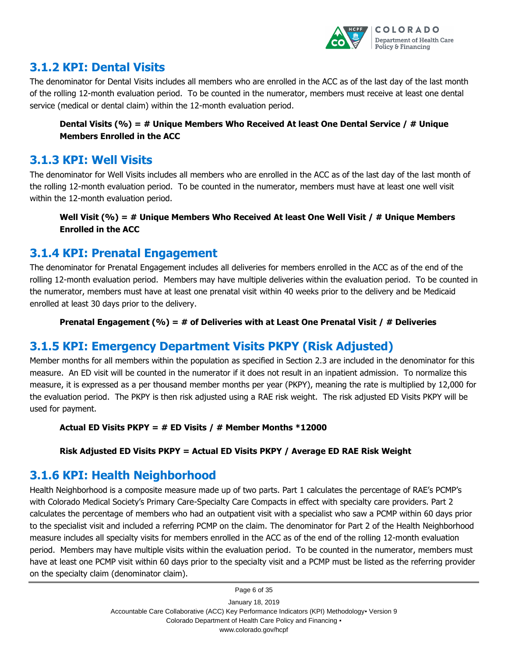

### <span id="page-10-0"></span>**3.1.2 KPI: Dental Visits**

The denominator for Dental Visits includes all members who are enrolled in the ACC as of the last day of the last month of the rolling 12-month evaluation period. To be counted in the numerator, members must receive at least one dental service (medical or dental claim) within the 12-month evaluation period.

### **Dental Visits (%) = # Unique Members Who Received At least One Dental Service / # Unique Members Enrolled in the ACC**

### <span id="page-10-1"></span>**3.1.3 KPI: Well Visits**

The denominator for Well Visits includes all members who are enrolled in the ACC as of the last day of the last month of the rolling 12-month evaluation period. To be counted in the numerator, members must have at least one well visit within the 12-month evaluation period.

#### **Well Visit (%) = # Unique Members Who Received At least One Well Visit / # Unique Members Enrolled in the ACC**

### <span id="page-10-2"></span>**3.1.4 KPI: Prenatal Engagement**

The denominator for Prenatal Engagement includes all deliveries for members enrolled in the ACC as of the end of the rolling 12-month evaluation period. Members may have multiple deliveries within the evaluation period. To be counted in the numerator, members must have at least one prenatal visit within 40 weeks prior to the delivery and be Medicaid enrolled at least 30 days prior to the delivery.

#### **Prenatal Engagement (%) = # of Deliveries with at Least One Prenatal Visit / # Deliveries**

### <span id="page-10-3"></span>**3.1.5 KPI: Emergency Department Visits PKPY (Risk Adjusted)**

Member months for all members within the population as specified in Section 2.3 are included in the denominator for this measure. An ED visit will be counted in the numerator if it does not result in an inpatient admission. To normalize this measure, it is expressed as a per thousand member months per year (PKPY), meaning the rate is multiplied by 12,000 for the evaluation period. The PKPY is then risk adjusted using a RAE risk weight. The risk adjusted ED Visits PKPY will be used for payment.

#### **Actual ED Visits PKPY = # ED Visits / # Member Months \*12000**

#### **Risk Adjusted ED Visits PKPY = Actual ED Visits PKPY / Average ED RAE Risk Weight**

### <span id="page-10-4"></span>**3.1.6 KPI: Health Neighborhood**

Health Neighborhood is a composite measure made up of two parts. Part 1 calculates the percentage of RAE's PCMP's with Colorado Medical Society's Primary Care-Specialty Care Compacts in effect with specialty care providers. Part 2 calculates the percentage of members who had an outpatient visit with a specialist who saw a PCMP within 60 days prior to the specialist visit and included a referring PCMP on the claim. The denominator for Part 2 of the Health Neighborhood measure includes all specialty visits for members enrolled in the ACC as of the end of the rolling 12-month evaluation period. Members may have multiple visits within the evaluation period. To be counted in the numerator, members must have at least one PCMP visit within 60 days prior to the specialty visit and a PCMP must be listed as the referring provider on the specialty claim (denominator claim).

> Page 6 of 35 January 18, 2019 Accountable Care Collaborative (ACC) Key Performance Indicators (KPI) Methodology▪ Version 9 Colorado Department of Health Care Policy and Financing ▪ www.colorado.gov/hcpf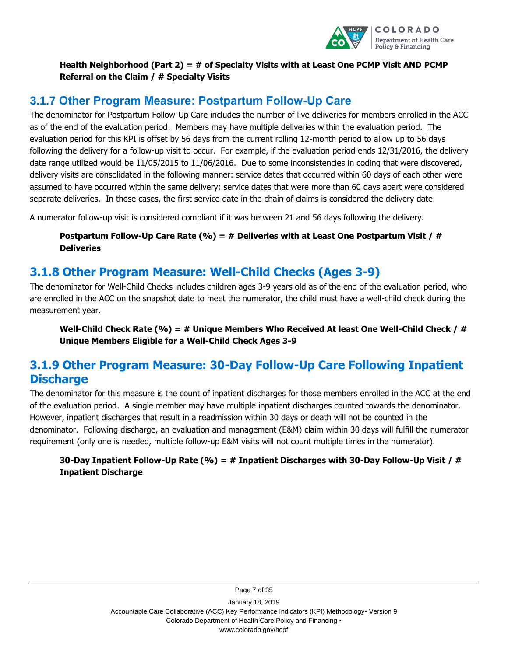

**Health Neighborhood (Part 2) = # of Specialty Visits with at Least One PCMP Visit AND PCMP Referral on the Claim / # Specialty Visits**

### <span id="page-11-0"></span>**3.1.7 Other Program Measure: Postpartum Follow-Up Care**

The denominator for Postpartum Follow-Up Care includes the number of live deliveries for members enrolled in the ACC as of the end of the evaluation period. Members may have multiple deliveries within the evaluation period. The evaluation period for this KPI is offset by 56 days from the current rolling 12-month period to allow up to 56 days following the delivery for a follow-up visit to occur. For example, if the evaluation period ends 12/31/2016, the delivery date range utilized would be 11/05/2015 to 11/06/2016. Due to some inconsistencies in coding that were discovered, delivery visits are consolidated in the following manner: service dates that occurred within 60 days of each other were assumed to have occurred within the same delivery; service dates that were more than 60 days apart were considered separate deliveries. In these cases, the first service date in the chain of claims is considered the delivery date.

A numerator follow-up visit is considered compliant if it was between 21 and 56 days following the delivery.

**Postpartum Follow-Up Care Rate (%) = # Deliveries with at Least One Postpartum Visit / # Deliveries** 

### <span id="page-11-1"></span>**3.1.8 Other Program Measure: Well-Child Checks (Ages 3-9)**

The denominator for Well-Child Checks includes children ages 3-9 years old as of the end of the evaluation period, who are enrolled in the ACC on the snapshot date to meet the numerator, the child must have a well-child check during the measurement year.

**Well-Child Check Rate (%) = # Unique Members Who Received At least One Well-Child Check / # Unique Members Eligible for a Well-Child Check Ages 3-9**

### <span id="page-11-2"></span>**3.1.9 Other Program Measure: 30-Day Follow-Up Care Following Inpatient Discharge**

The denominator for this measure is the count of inpatient discharges for those members enrolled in the ACC at the end of the evaluation period. A single member may have multiple inpatient discharges counted towards the denominator. However, inpatient discharges that result in a readmission within 30 days or death will not be counted in the denominator. Following discharge, an evaluation and management (E&M) claim within 30 days will fulfill the numerator requirement (only one is needed, multiple follow-up E&M visits will not count multiple times in the numerator).

#### **30-Day Inpatient Follow-Up Rate (%) = # Inpatient Discharges with 30-Day Follow-Up Visit / # Inpatient Discharge**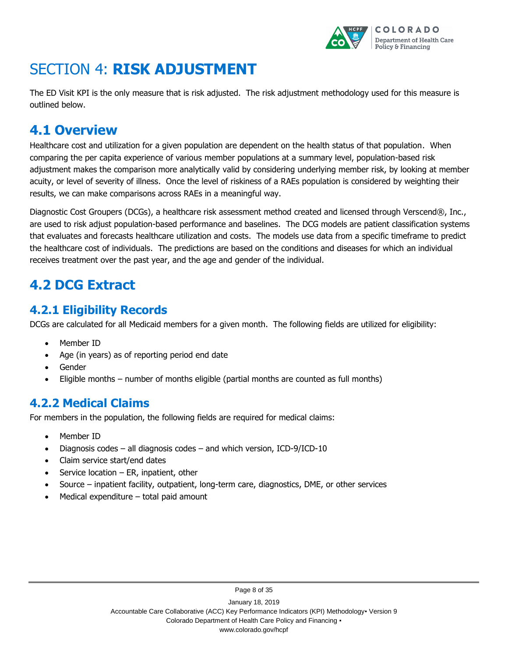

# <span id="page-12-0"></span>SECTION 4: **RISK ADJUSTMENT**

The ED Visit KPI is the only measure that is risk adjusted. The risk adjustment methodology used for this measure is outlined below.

# <span id="page-12-1"></span>**4.1 Overview**

Healthcare cost and utilization for a given population are dependent on the health status of that population. When comparing the per capita experience of various member populations at a summary level, population-based risk adjustment makes the comparison more analytically valid by considering underlying member risk, by looking at member acuity, or level of severity of illness. Once the level of riskiness of a RAEs population is considered by weighting their results, we can make comparisons across RAEs in a meaningful way.

Diagnostic Cost Groupers (DCGs), a healthcare risk assessment method created and licensed through Verscend®, Inc., are used to risk adjust population-based performance and baselines. The DCG models are patient classification systems that evaluates and forecasts healthcare utilization and costs. The models use data from a specific timeframe to predict the healthcare cost of individuals. The predictions are based on the conditions and diseases for which an individual receives treatment over the past year, and the age and gender of the individual.

# <span id="page-12-2"></span>**4.2 DCG Extract**

### <span id="page-12-3"></span>**4.2.1 Eligibility Records**

DCGs are calculated for all Medicaid members for a given month. The following fields are utilized for eligibility:

- Member ID
- Age (in years) as of reporting period end date
- Gender
- Eligible months number of months eligible (partial months are counted as full months)

### <span id="page-12-4"></span>**4.2.2 Medical Claims**

For members in the population, the following fields are required for medical claims:

- Member ID
- Diagnosis codes all diagnosis codes and which version, ICD-9/ICD-10
- Claim service start/end dates
- Service location  $-$  ER, inpatient, other
- Source inpatient facility, outpatient, long-term care, diagnostics, DME, or other services
- Medical expenditure  $-$  total paid amount

Page 8 of 35

January 18, 2019 Accountable Care Collaborative (ACC) Key Performance Indicators (KPI) Methodology▪ Version 9 Colorado Department of Health Care Policy and Financing ▪ www.colorado.gov/hcpf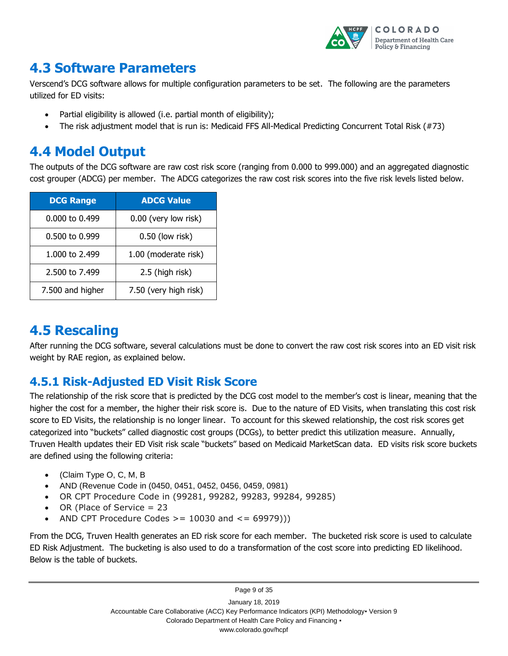

# <span id="page-13-0"></span>**4.3 Software Parameters**

Verscend's DCG software allows for multiple configuration parameters to be set. The following are the parameters utilized for ED visits:

- Partial eligibility is allowed (i.e. partial month of eligibility);
- The risk adjustment model that is run is: Medicaid FFS All-Medical Predicting Concurrent Total Risk (#73)

# <span id="page-13-1"></span>**4.4 Model Output**

The outputs of the DCG software are raw cost risk score (ranging from 0.000 to 999.000) and an aggregated diagnostic cost grouper (ADCG) per member. The ADCG categorizes the raw cost risk scores into the five risk levels listed below.

| <b>DCG Range</b> | <b>ADCG Value</b>     |
|------------------|-----------------------|
| 0.000 to 0.499   | 0.00 (very low risk)  |
| 0.500 to 0.999   | $0.50$ (low risk)     |
| 1.000 to 2.499   | 1.00 (moderate risk)  |
| 2.500 to 7.499   | 2.5 (high risk)       |
| 7.500 and higher | 7.50 (very high risk) |

# <span id="page-13-2"></span>**4.5 Rescaling**

After running the DCG software, several calculations must be done to convert the raw cost risk scores into an ED visit risk weight by RAE region, as explained below.

### <span id="page-13-3"></span>**4.5.1 Risk-Adjusted ED Visit Risk Score**

The relationship of the risk score that is predicted by the DCG cost model to the member's cost is linear, meaning that the higher the cost for a member, the higher their risk score is. Due to the nature of ED Visits, when translating this cost risk score to ED Visits, the relationship is no longer linear. To account for this skewed relationship, the cost risk scores get categorized into "buckets" called diagnostic cost groups (DCGs), to better predict this utilization measure. Annually, Truven Health updates their ED Visit risk scale "buckets" based on Medicaid MarketScan data. ED visits risk score buckets are defined using the following criteria:

- (Claim Type O, C, M, B
- AND (Revenue Code in (0450, 0451, 0452, 0456, 0459, 0981)
- OR CPT Procedure Code in (99281, 99282, 99283, 99284, 99285)
- OR (Place of Service = 23
- AND CPT Procedure Codes  $>= 10030$  and  $<= 69979$ ))

From the DCG, Truven Health generates an ED risk score for each member. The bucketed risk score is used to calculate ED Risk Adjustment. The bucketing is also used to do a transformation of the cost score into predicting ED likelihood. Below is the table of buckets.

> Page 9 of 35 January 18, 2019 Accountable Care Collaborative (ACC) Key Performance Indicators (KPI) Methodology▪ Version 9 Colorado Department of Health Care Policy and Financing ▪ www.colorado.gov/hcpf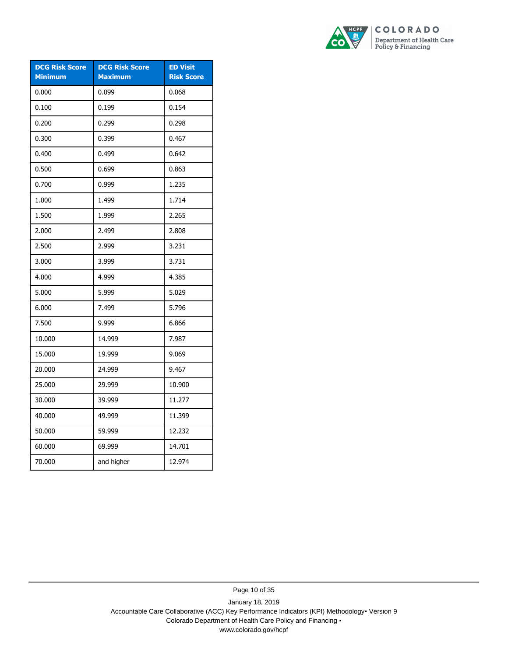

| <b>DCG Risk Score</b><br><b>Minimum</b> | <b>DCG Risk Score</b><br><b>Maximum</b> | <b>ED Visit</b><br><b>Risk Score</b> |
|-----------------------------------------|-----------------------------------------|--------------------------------------|
| 0.000                                   | 0.099                                   | 0.068                                |
| 0.100                                   | 0.199                                   | 0.154                                |
| 0.200                                   | 0.299                                   | 0.298                                |
| 0.300                                   | 0.399                                   | 0.467                                |
| 0.400                                   | 0.499                                   | 0.642                                |
| 0.500                                   | 0.699                                   | 0.863                                |
| 0.700                                   | 0.999                                   | 1.235                                |
| 1.000                                   | 1.499                                   | 1.714                                |
| 1.500                                   | 1.999                                   | 2.265                                |
| 2.000                                   | 2.499                                   | 2.808                                |
| 2.500                                   | 2.999                                   | 3.231                                |
| 3.000                                   | 3.999                                   | 3.731                                |
| 4.000                                   | 4.999                                   | 4.385                                |
| 5.000                                   | 5.999                                   | 5.029                                |
| 6.000                                   | 7.499                                   | 5.796                                |
| 7.500                                   | 9.999                                   | 6.866                                |
| 10.000                                  | 14.999                                  | 7.987                                |
| 15.000                                  | 19.999                                  | 9.069                                |
| 20.000                                  | 24.999                                  | 9.467                                |
| 25.000                                  | 29.999                                  | 10.900                               |
| 30.000                                  | 39.999                                  | 11.277                               |
| 40,000                                  | 49.999                                  | 11.399                               |
| 50.000                                  | 59.999                                  | 12.232                               |
| 60.000                                  | 69.999                                  | 14.701                               |
| 70.000                                  | and higher                              | 12.974                               |

Page 10 of 35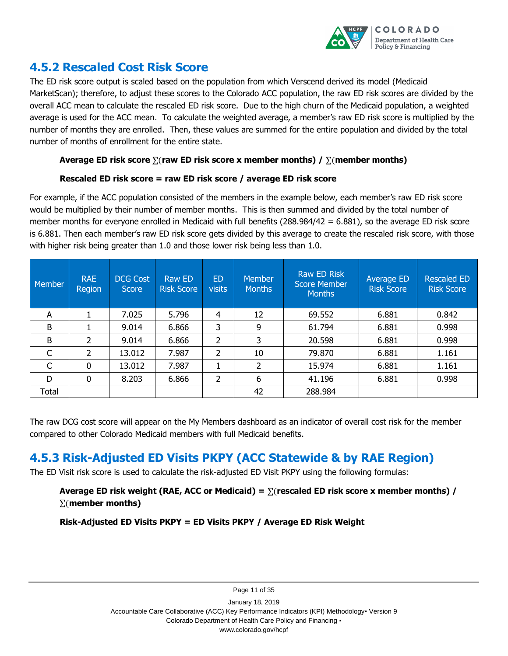

### <span id="page-15-0"></span>**4.5.2 Rescaled Cost Risk Score**

The ED risk score output is scaled based on the population from which Verscend derived its model (Medicaid MarketScan); therefore, to adjust these scores to the Colorado ACC population, the raw ED risk scores are divided by the overall ACC mean to calculate the rescaled ED risk score. Due to the high churn of the Medicaid population, a weighted average is used for the ACC mean. To calculate the weighted average, a member's raw ED risk score is multiplied by the number of months they are enrolled. Then, these values are summed for the entire population and divided by the total number of months of enrollment for the entire state.

#### **Average ED risk score** ∑(**raw ED risk score x member months) /** ∑(**member months)**

#### **Rescaled ED risk score = raw ED risk score / average ED risk score**

For example, if the ACC population consisted of the members in the example below, each member's raw ED risk score would be multiplied by their number of member months. This is then summed and divided by the total number of member months for everyone enrolled in Medicaid with full benefits (288.984/42 = 6.881), so the average ED risk score is 6.881. Then each member's raw ED risk score gets divided by this average to create the rescaled risk score, with those with higher risk being greater than 1.0 and those lower risk being less than 1.0.

| Member | <b>RAE</b><br>Region | <b>DCG Cost</b><br><b>Score</b> | Raw ED<br><b>Risk Score</b> | <b>ED</b><br><b>visits</b> | <b>Member</b><br><b>Months</b> | <b>Raw ED Risk</b><br><b>Score Member</b><br><b>Months</b> | Average ED<br><b>Risk Score</b> | <b>Rescaled ED</b><br><b>Risk Score</b> |
|--------|----------------------|---------------------------------|-----------------------------|----------------------------|--------------------------------|------------------------------------------------------------|---------------------------------|-----------------------------------------|
| A      |                      | 7.025                           | 5.796                       | 4                          | 12                             | 69.552                                                     | 6.881                           | 0.842                                   |
| B      |                      | 9.014                           | 6.866                       | 3                          | 9                              | 61.794                                                     | 6.881                           | 0.998                                   |
| B      | 2                    | 9.014                           | 6.866                       | 2                          | 3                              | 20.598                                                     | 6.881                           | 0.998                                   |
| C      | 2                    | 13.012                          | 7.987                       | 2                          | 10                             | 79.870                                                     | 6.881                           | 1.161                                   |
| C      | $\Omega$             | 13.012                          | 7.987                       |                            | 2                              | 15.974                                                     | 6.881                           | 1.161                                   |
| D      | 0                    | 8.203                           | 6.866                       | 2                          | 6                              | 41.196                                                     | 6.881                           | 0.998                                   |
| Total  |                      |                                 |                             |                            | 42                             | 288.984                                                    |                                 |                                         |

The raw DCG cost score will appear on the My Members dashboard as an indicator of overall cost risk for the member compared to other Colorado Medicaid members with full Medicaid benefits.

### <span id="page-15-1"></span>**4.5.3 Risk-Adjusted ED Visits PKPY (ACC Statewide & by RAE Region)**

The ED Visit risk score is used to calculate the risk-adjusted ED Visit PKPY using the following formulas:

### **Average ED risk weight (RAE, ACC or Medicaid) =** ∑(**rescaled ED risk score x member months) /**  ∑(**member months)**

**Risk-Adjusted ED Visits PKPY = ED Visits PKPY / Average ED Risk Weight**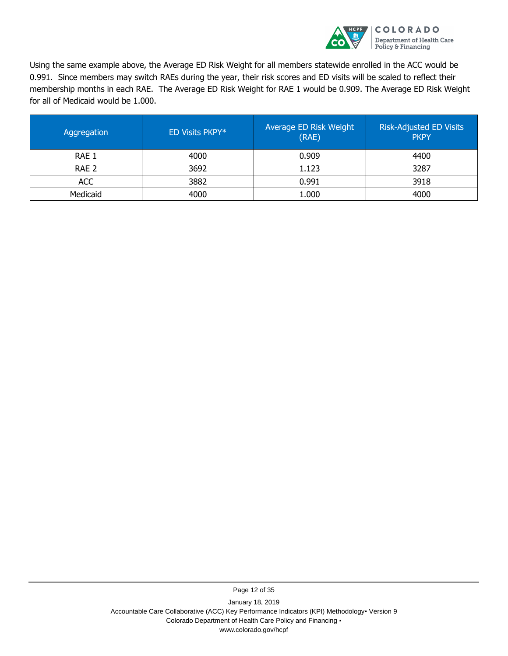

Using the same example above, the Average ED Risk Weight for all members statewide enrolled in the ACC would be 0.991. Since members may switch RAEs during the year, their risk scores and ED visits will be scaled to reflect their membership months in each RAE. The Average ED Risk Weight for RAE 1 would be 0.909. The Average ED Risk Weight for all of Medicaid would be 1.000.

| Aggregation | ED Visits PKPY* | Average ED Risk Weight<br>(RAE) | <b>Risk-Adjusted ED Visits</b><br><b>PKPY</b> |
|-------------|-----------------|---------------------------------|-----------------------------------------------|
| RAE 1       | 4000            | 0.909                           | 4400                                          |
| RAE 2       | 3692            | 1.123                           | 3287                                          |
| <b>ACC</b>  | 3882            | 0.991                           | 3918                                          |
| Medicaid    | 4000            | 1.000                           | 4000                                          |

January 18, 2019 Accountable Care Collaborative (ACC) Key Performance Indicators (KPI) Methodology Version 9 Colorado Department of Health Care Policy and Financing ▪ www.colorado.gov/hcpf

Page 12 of 35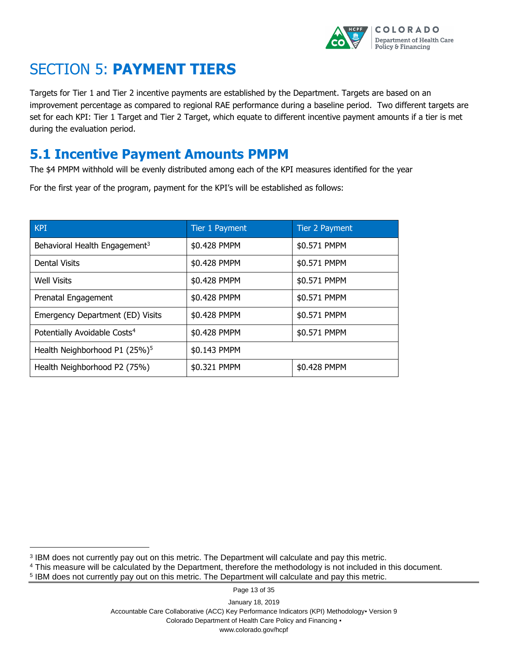

# <span id="page-17-0"></span>SECTION 5: **PAYMENT TIERS**

Targets for Tier 1 and Tier 2 incentive payments are established by the Department. Targets are based on an improvement percentage as compared to regional RAE performance during a baseline period. Two different targets are set for each KPI: Tier 1 Target and Tier 2 Target, which equate to different incentive payment amounts if a tier is met during the evaluation period.

# <span id="page-17-1"></span>**5.1 Incentive Payment Amounts PMPM**

The \$4 PMPM withhold will be evenly distributed among each of the KPI measures identified for the year

For the first year of the program, payment for the KPI's will be established as follows:

| <b>KPI</b>                                | Tier 1 Payment | Tier 2 Payment |
|-------------------------------------------|----------------|----------------|
| Behavioral Health Engagement <sup>3</sup> | \$0.428 PMPM   | \$0.571 PMPM   |
| <b>Dental Visits</b>                      | \$0.428 PMPM   | \$0.571 PMPM   |
| <b>Well Visits</b>                        | \$0.428 PMPM   | \$0.571 PMPM   |
| Prenatal Engagement                       | \$0.428 PMPM   | \$0.571 PMPM   |
| Emergency Department (ED) Visits          | \$0.428 PMPM   | \$0.571 PMPM   |
| Potentially Avoidable Costs <sup>4</sup>  | \$0.428 PMPM   | \$0.571 PMPM   |
| Health Neighborhood P1 (25%) <sup>5</sup> | \$0.143 PMPM   |                |
| Health Neighborhood P2 (75%)              | \$0.321 PMPM   | \$0.428 PMPM   |

l

Page 13 of 35

January 18, 2019 Accountable Care Collaborative (ACC) Key Performance Indicators (KPI) Methodology• Version 9 Colorado Department of Health Care Policy and Financing ▪ www.colorado.gov/hcpf

<sup>&</sup>lt;sup>3</sup> IBM does not currently pay out on this metric. The Department will calculate and pay this metric.

<sup>4</sup> This measure will be calculated by the Department, therefore the methodology is not included in this document.

<sup>&</sup>lt;sup>5</sup> IBM does not currently pay out on this metric. The Department will calculate and pay this metric.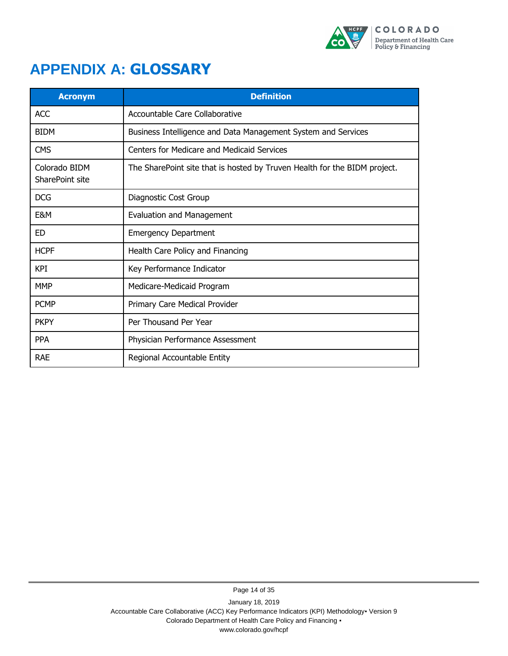

# <span id="page-18-0"></span>**APPENDIX A: GLOSSARY**

| <b>Acronym</b>                   | <b>Definition</b>                                                         |
|----------------------------------|---------------------------------------------------------------------------|
| <b>ACC</b>                       | Accountable Care Collaborative                                            |
| <b>BIDM</b>                      | Business Intelligence and Data Management System and Services             |
| <b>CMS</b>                       | <b>Centers for Medicare and Medicaid Services</b>                         |
| Colorado BIDM<br>SharePoint site | The SharePoint site that is hosted by Truven Health for the BIDM project. |
| <b>DCG</b>                       | Diagnostic Cost Group                                                     |
| E&M                              | Evaluation and Management                                                 |
| <b>ED</b>                        | <b>Emergency Department</b>                                               |
| <b>HCPF</b>                      | Health Care Policy and Financing                                          |
| <b>KPI</b>                       | Key Performance Indicator                                                 |
| <b>MMP</b>                       | Medicare-Medicaid Program                                                 |
| <b>PCMP</b>                      | Primary Care Medical Provider                                             |
| <b>PKPY</b>                      | Per Thousand Per Year                                                     |
| <b>PPA</b>                       | Physician Performance Assessment                                          |
| <b>RAE</b>                       | Regional Accountable Entity                                               |

Page 14 of 35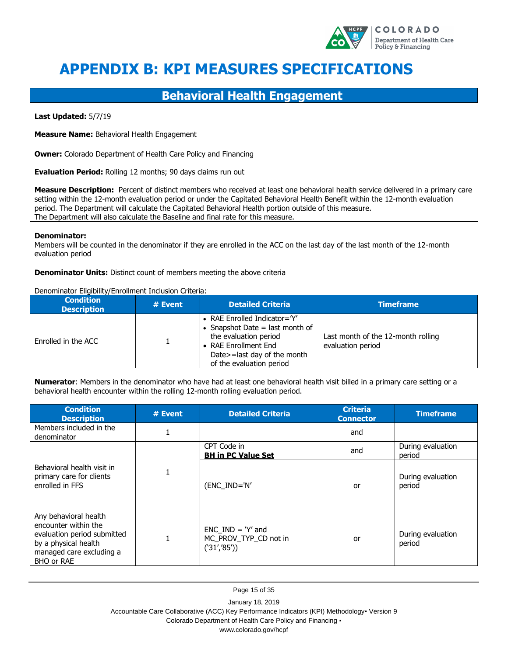

# <span id="page-19-0"></span>**APPENDIX B: KPI MEASURES SPECIFICATIONS**

### **Behavioral Health Engagement**

**Last Updated:** 5/7/19

**Measure Name:** Behavioral Health Engagement

**Owner:** Colorado Department of Health Care Policy and Financing

**Evaluation Period:** Rolling 12 months; 90 days claims run out

**Measure Description:** Percent of distinct members who received at least one behavioral health service delivered in a primary care setting within the 12-month evaluation period or under the Capitated Behavioral Health Benefit within the 12-month evaluation period. The Department will calculate the Capitated Behavioral Health portion outside of this measure. The Department will also calculate the Baseline and final rate for this measure.

#### **Denominator:**

Members will be counted in the denominator if they are enrolled in the ACC on the last day of the last month of the 12-month evaluation period

**Denominator Units:** Distinct count of members meeting the above criteria

Denominator Eligibility/Enrollment Inclusion Criteria:

| <b>Condition</b><br><b>Description</b> | # Event | <b>Detailed Criteria</b>                                                                                                                                                        | <b>Timeframe</b>                                        |
|----------------------------------------|---------|---------------------------------------------------------------------------------------------------------------------------------------------------------------------------------|---------------------------------------------------------|
| Enrolled in the ACC                    |         | • RAE Enrolled Indicator= $Y'$<br>• Snapshot Date $=$ last month of<br>the evaluation period<br>• RAE Enrollment End<br>Date>=last day of the month<br>of the evaluation period | Last month of the 12-month rolling<br>evaluation period |

**Numerator**: Members in the denominator who have had at least one behavioral health visit billed in a primary care setting or a behavioral health encounter within the rolling 12-month rolling evaluation period.

| <b>Condition</b><br><b>Description</b>                                                                                                                | # Event | <b>Detailed Criteria</b>                                    | <b>Criteria</b><br><b>Connector</b> | <b>Timeframe</b>            |
|-------------------------------------------------------------------------------------------------------------------------------------------------------|---------|-------------------------------------------------------------|-------------------------------------|-----------------------------|
| Members included in the<br>denominator                                                                                                                |         |                                                             | and                                 |                             |
|                                                                                                                                                       |         | CPT Code in<br><b>BH in PC Value Set</b>                    | During evaluation<br>and<br>period  |                             |
| Behavioral health visit in<br>primary care for clients<br>enrolled in FFS                                                                             |         | (ENC_IND='N'                                                | or                                  | During evaluation<br>period |
| Any behavioral health<br>encounter within the<br>evaluation period submitted<br>by a physical health<br>managed care excluding a<br><b>BHO or RAE</b> |         | $ENC$ IND = 'Y' and<br>MC PROV TYP CD not in<br>('31'/85')) | or                                  | During evaluation<br>period |

Page 15 of 35

January 18, 2019 Accountable Care Collaborative (ACC) Key Performance Indicators (KPI) Methodology · Version 9 Colorado Department of Health Care Policy and Financing ▪ www.colorado.gov/hcpf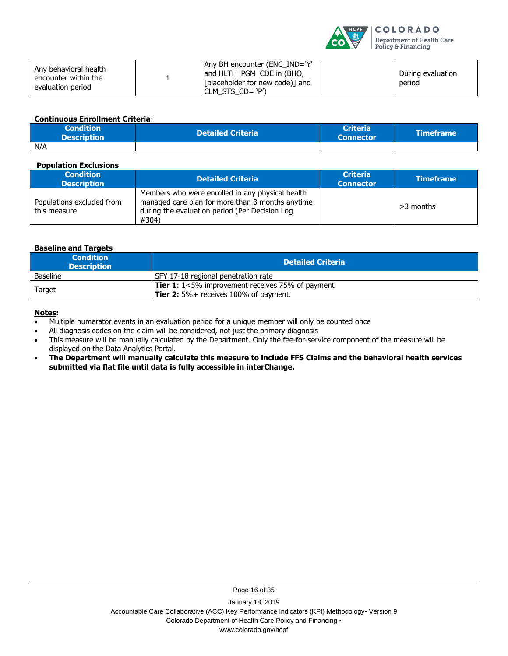

| Any behavioral health<br>encounter within the<br>evaluation period |  | Any BH encounter (ENC_IND='Y'<br>and HLTH PGM CDE in (BHO,<br>[placeholder for new code]] and<br>CLM STS $CD = 'P'$ |  | During evaluation<br>period |
|--------------------------------------------------------------------|--|---------------------------------------------------------------------------------------------------------------------|--|-----------------------------|
|--------------------------------------------------------------------|--|---------------------------------------------------------------------------------------------------------------------|--|-----------------------------|

#### **Continuous Enrollment Criteria**:

| <b>Condition</b><br><b>Description</b> | <b>Detailed Criteria</b> | <b>Criteria</b><br><b>Connector</b> | <b>\Timeframe\</b> |
|----------------------------------------|--------------------------|-------------------------------------|--------------------|
| N/A                                    |                          |                                     |                    |

| <b>Population Exclusions</b>              |                                                                                                                                                                 |                                     |                  |
|-------------------------------------------|-----------------------------------------------------------------------------------------------------------------------------------------------------------------|-------------------------------------|------------------|
| <b>Condition</b><br><b>Description</b>    | <b>Detailed Criteria</b>                                                                                                                                        | <b>Criteria</b><br><b>Connector</b> | <b>Timeframe</b> |
| Populations excluded from<br>this measure | Members who were enrolled in any physical health<br>managed care plan for more than 3 months anytime<br>during the evaluation period (Per Decision Log<br>#304) |                                     | $>3$ months      |

#### **Baseline and Targets**

| <b>Condition</b><br><b>Description</b>                                                                                     | <b>Detailed Criteria</b>            |
|----------------------------------------------------------------------------------------------------------------------------|-------------------------------------|
| <b>Baseline</b>                                                                                                            | SFY 17-18 regional penetration rate |
| <b>Tier 1:</b> $1 < 5\%$ improvement receives 75% of payment<br>Target<br><b>Tier 2:</b> $5\%$ + receives 100% of payment. |                                     |

#### **Notes:**

- Multiple numerator events in an evaluation period for a unique member will only be counted once
- All diagnosis codes on the claim will be considered, not just the primary diagnosis
- This measure will be manually calculated by the Department. Only the fee-for-service component of the measure will be displayed on the Data Analytics Portal.
- **The Department will manually calculate this measure to include FFS Claims and the behavioral health services submitted via flat file until data is fully accessible in interChange.**

Page 16 of 35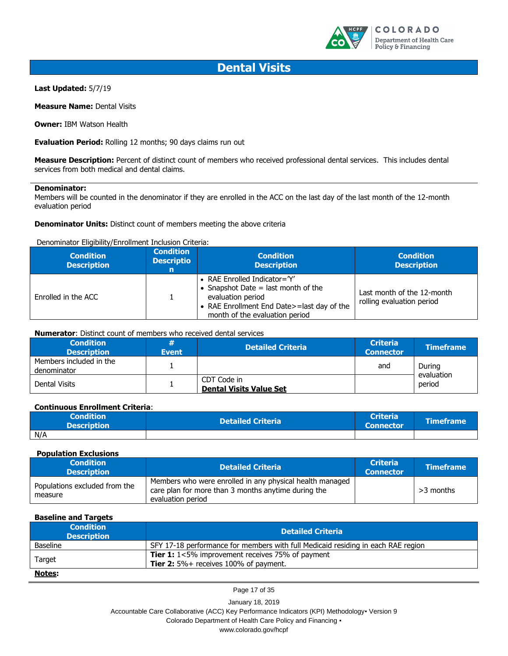

### **Dental Visits**

**Last Updated:** 5/7/19

**Measure Name: Dental Visits** 

**Owner:** IBM Watson Health

**Evaluation Period:** Rolling 12 months; 90 days claims run out

**Measure Description:** Percent of distinct count of members who received professional dental services. This includes dental services from both medical and dental claims.

#### **Denominator:**

Members will be counted in the denominator if they are enrolled in the ACC on the last day of the last month of the 12-month evaluation period

**Denominator Units:** Distinct count of members meeting the above criteria

Denominator Eligibility/Enrollment Inclusion Criteria:

| <b>Condition</b><br><b>Description</b> | <b>Condition</b><br><b>Descriptio</b><br>n | <b>Condition</b><br><b>Description</b>                                                                                                                                       | <b>Condition</b><br><b>Description</b>                  |
|----------------------------------------|--------------------------------------------|------------------------------------------------------------------------------------------------------------------------------------------------------------------------------|---------------------------------------------------------|
| Enrolled in the ACC                    |                                            | • RAE Enrolled Indicator= $Y'$<br>• Snapshot Date $=$ last month of the<br>evaluation period<br>• RAE Enrollment End Date>=last day of the<br>month of the evaluation period | Last month of the 12-month<br>rolling evaluation period |

**Numerator**: Distinct count of members who received dental services

| <b>Condition</b><br><b>Description</b> | #<br><b>Event</b> | <b>Detailed Criteria</b>                      | <b>Criteria</b><br><b>Connector</b> | <b>Timeframe</b>     |
|----------------------------------------|-------------------|-----------------------------------------------|-------------------------------------|----------------------|
| Members included in the<br>denominator |                   |                                               | and                                 | During<br>evaluation |
| Dental Visits                          |                   | CDT Code in<br><b>Dental Visits Value Set</b> |                                     | period               |

#### **Continuous Enrollment Criteria**:

| <b>Condition</b><br><b>Description</b> | <b>Detailed Criteria</b> | Criteria<br><b>Connector</b> | <b>Timeframe</b> |
|----------------------------------------|--------------------------|------------------------------|------------------|
| N/A                                    |                          |                              |                  |

#### **Population Exclusions**

| <b>Condition</b><br><b>Description</b>   | <b>Detailed Criteria</b>                                                                                                             | <b>Criteria</b><br><b>Connector</b> | <b>Timeframe</b> |
|------------------------------------------|--------------------------------------------------------------------------------------------------------------------------------------|-------------------------------------|------------------|
| Populations excluded from the<br>measure | Members who were enrolled in any physical health managed<br>care plan for more than 3 months anytime during the<br>evaluation period |                                     | $>3$ months      |

#### **Baseline and Targets**

| <b>Condition</b><br><b>Description</b> | <b>Detailed Criteria</b>                                                         |
|----------------------------------------|----------------------------------------------------------------------------------|
| <b>Baseline</b>                        | SFY 17-18 performance for members with full Medicaid residing in each RAE region |
|                                        | <b>Tier 1:</b> $1 < 5\%$ improvement receives 75% of payment                     |
| Target                                 | <b>Tier 2:</b> $5\%$ + receives 100% of payment.                                 |
| <b>Notes:</b>                          |                                                                                  |

Page 17 of 35

January 18, 2019 Accountable Care Collaborative (ACC) Key Performance Indicators (KPI) Methodology · Version 9 Colorado Department of Health Care Policy and Financing ▪

www.colorado.gov/hcpf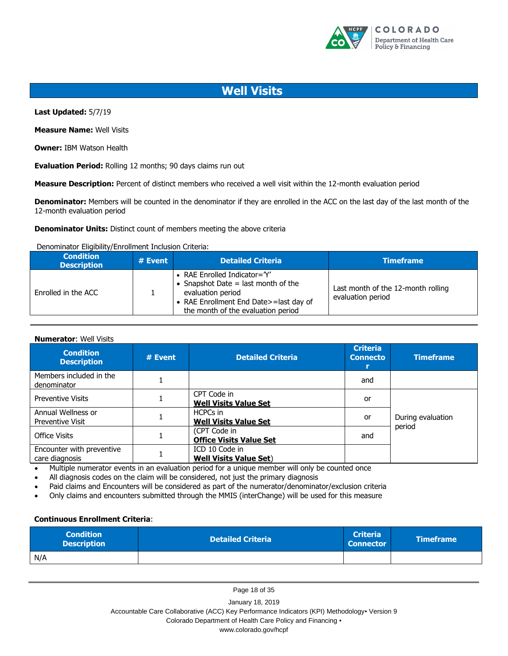

### **Well Visits**

**Last Updated:** 5/7/19

**Measure Name:** Well Visits

**Owner:** IBM Watson Health

**Evaluation Period:** Rolling 12 months; 90 days claims run out

**Measure Description:** Percent of distinct members who received a well visit within the 12-month evaluation period

**Denominator:** Members will be counted in the denominator if they are enrolled in the ACC on the last day of the last month of the 12-month evaluation period

**Denominator Units:** Distinct count of members meeting the above criteria

#### Denominator Eligibility/Enrollment Inclusion Criteria:

| <b>Condition</b><br><b>Description</b> | # Event | <b>Detailed Criteria</b>                                                                                                                                                     | <b>Timeframe</b>                                        |
|----------------------------------------|---------|------------------------------------------------------------------------------------------------------------------------------------------------------------------------------|---------------------------------------------------------|
| Enrolled in the ACC                    |         | • RAE Enrolled Indicator= $Y'$<br>• Snapshot Date $=$ last month of the<br>evaluation period<br>• RAE Enrollment End Date>=last day of<br>the month of the evaluation period | Last month of the 12-month rolling<br>evaluation period |

#### **Numerator**: Well Visits

| <b>Condition</b><br><b>Description</b>      | # Event | <b>Detailed Criteria</b>                        | <b>Criteria</b><br><b>Connecto</b><br>r | <b>Timeframe</b>  |
|---------------------------------------------|---------|-------------------------------------------------|-----------------------------------------|-------------------|
| Members included in the<br>denominator      |         |                                                 | and                                     |                   |
| <b>Preventive Visits</b>                    |         | CPT Code in<br><b>Well Visits Value Set</b>     | or                                      |                   |
| Annual Wellness or<br>Preventive Visit      |         | <b>HCPCs</b> in<br><b>Well Visits Value Set</b> | or                                      | During evaluation |
| <b>Office Visits</b>                        |         | (CPT Code in<br><b>Office Visits Value Set</b>  | and                                     | period            |
| Encounter with preventive<br>care diagnosis |         | ICD 10 Code in<br><b>Well Visits Value Set)</b> |                                         |                   |

• Multiple numerator events in an evaluation period for a unique member will only be counted once

All diagnosis codes on the claim will be considered, not just the primary diagnosis

Paid claims and Encounters will be considered as part of the numerator/denominator/exclusion criteria

• Only claims and encounters submitted through the MMIS (interChange) will be used for this measure

#### **Continuous Enrollment Criteria**:

| <b>Condition</b><br><b>Description</b> | <b>Detailed Criteria</b> | <b>Criteria</b><br><b>Connector</b> | <b>\Timeframe</b> |
|----------------------------------------|--------------------------|-------------------------------------|-------------------|
| N/A                                    |                          |                                     |                   |

Page 18 of 35

January 18, 2019 Accountable Care Collaborative (ACC) Key Performance Indicators (KPI) Methodology▪ Version 9 Colorado Department of Health Care Policy and Financing ▪ www.colorado.gov/hcpf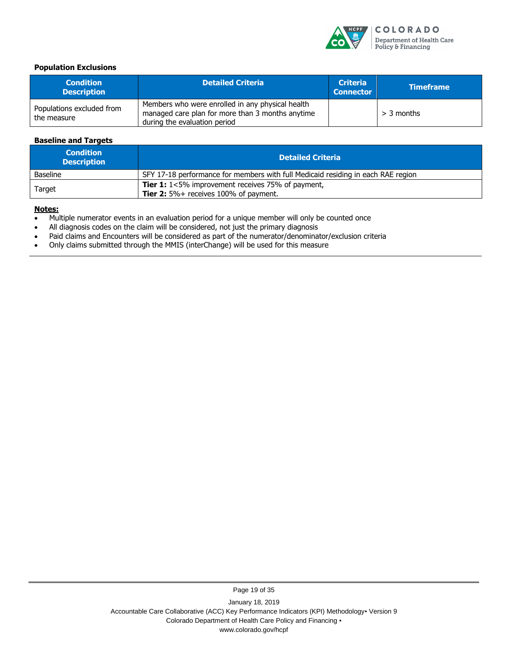

#### **Population Exclusions**

| <b>Condition</b><br><b>Description</b>   | <b>Detailed Criteria</b>                                                                                                             | <b>Criteria</b><br><b>Connector</b> | <b>Timeframe</b> |
|------------------------------------------|--------------------------------------------------------------------------------------------------------------------------------------|-------------------------------------|------------------|
| Populations excluded from<br>the measure | Members who were enrolled in any physical health<br>managed care plan for more than 3 months anytime<br>during the evaluation period |                                     | $>$ 3 months     |

#### **Baseline and Targets**

| <b>Condition</b><br><b>Description</b> | <b>Detailed Criteria</b>                                                                                     |
|----------------------------------------|--------------------------------------------------------------------------------------------------------------|
| <b>Baseline</b>                        | SFY 17-18 performance for members with full Medicaid residing in each RAE region                             |
| Target                                 | <b>Tier 1:</b> 1<5% improvement receives 75% of payment,<br><b>Tier 2:</b> $5\%$ + receives 100% of payment. |

#### **Notes:**

- Multiple numerator events in an evaluation period for a unique member will only be counted once
- All diagnosis codes on the claim will be considered, not just the primary diagnosis
- Paid claims and Encounters will be considered as part of the numerator/denominator/exclusion criteria
- Only claims submitted through the MMIS (interChange) will be used for this measure

Page 19 of 35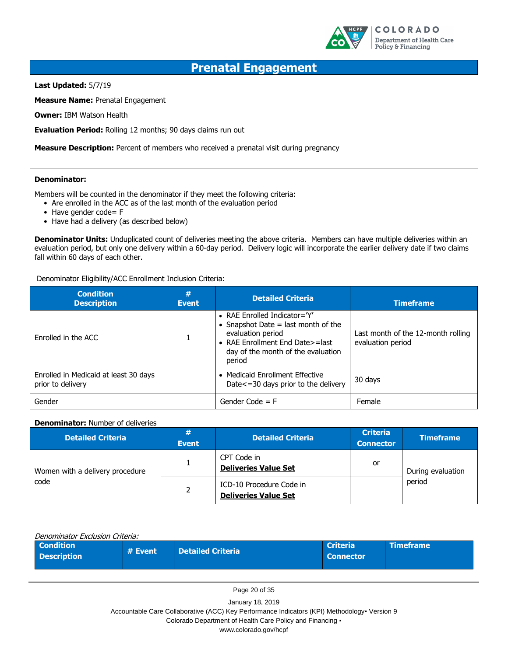

### **Prenatal Engagement**

**Last Updated:** 5/7/19

**Measure Name:** Prenatal Engagement

**Owner:** IBM Watson Health

**Evaluation Period:** Rolling 12 months; 90 days claims run out

**Measure Description:** Percent of members who received a prenatal visit during pregnancy

#### **Denominator:**

Members will be counted in the denominator if they meet the following criteria:

- Are enrolled in the ACC as of the last month of the evaluation period
- Have gender code= F
- Have had a delivery (as described below)

**Denominator Units:** Unduplicated count of deliveries meeting the above criteria. Members can have multiple deliveries within an evaluation period, but only one delivery within a 60-day period. Delivery logic will incorporate the earlier delivery date if two claims fall within 60 days of each other.

Denominator Eligibility/ACC Enrollment Inclusion Criteria:

| <b>Condition</b><br><b>Description</b>                     | #<br><b>Event</b> | <b>Detailed Criteria</b>                                                                                                                                                      | <b>Timeframe</b>                                        |
|------------------------------------------------------------|-------------------|-------------------------------------------------------------------------------------------------------------------------------------------------------------------------------|---------------------------------------------------------|
| Enrolled in the ACC                                        |                   | • RAE Enrolled Indicator='Y'<br>• Snapshot Date $=$ last month of the<br>evaluation period<br>• RAE Enrollment End Date>=last<br>day of the month of the evaluation<br>period | Last month of the 12-month rolling<br>evaluation period |
| Enrolled in Medicaid at least 30 days<br>prior to delivery |                   | • Medicaid Enrollment Effective<br>Date $\leq$ =30 days prior to the delivery                                                                                                 | 30 days                                                 |
| Gender                                                     |                   | Gender Code $=$ F                                                                                                                                                             | Female                                                  |

#### **Denominator:** Number of deliveries

| <b>Detailed Criteria</b>        | #<br><b>Event</b> | <b>Detailed Criteria</b>                                | <b>Criteria</b><br><b>Connector</b> | <b>Timeframe</b>  |
|---------------------------------|-------------------|---------------------------------------------------------|-------------------------------------|-------------------|
| Women with a delivery procedure |                   | CPT Code in<br><b>Deliveries Value Set</b>              | or                                  | During evaluation |
| code                            | 2                 | ICD-10 Procedure Code in<br><b>Deliveries Value Set</b> |                                     | period            |

#### Denominator Exclusion Criteria:

| <b>Condition</b><br># Event<br><b>Description</b> | Detailed Criteria | Criteria<br><b>Connector</b> | <b>Timeframe</b> |
|---------------------------------------------------|-------------------|------------------------------|------------------|
|---------------------------------------------------|-------------------|------------------------------|------------------|

Page 20 of 35

January 18, 2019

Accountable Care Collaborative (ACC) Key Performance Indicators (KPI) Methodology▪ Version 9

Colorado Department of Health Care Policy and Financing ▪

www.colorado.gov/hcpf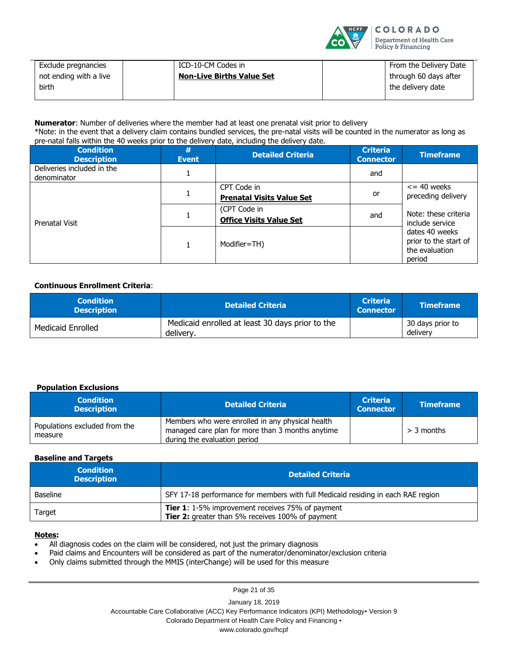

| Exclude pregnancies    | ICD-10-CM Codes in               | From the Delivery Date |
|------------------------|----------------------------------|------------------------|
| not ending with a live | <b>Non-Live Births Value Set</b> | through 60 days after  |
| birth                  |                                  | the delivery date      |
|                        |                                  |                        |

**Numerator**: Number of deliveries where the member had at least one prenatal visit prior to delivery

\*Note: in the event that a delivery claim contains bundled services, the pre-natal visits will be counted in the numerator as long as pre-natal falls within the 40 weeks prior to the delivery date, including the delivery date.

| <b>Condition</b><br><b>Description</b>    | #<br><b>Event</b> | <b>Detailed Criteria</b>                        | <b>Criteria</b><br><b>Connector</b> | <b>Timeframe</b>                                                                                               |
|-------------------------------------------|-------------------|-------------------------------------------------|-------------------------------------|----------------------------------------------------------------------------------------------------------------|
| Deliveries included in the<br>denominator |                   |                                                 | and                                 |                                                                                                                |
| <b>Prenatal Visit</b>                     |                   | CPT Code in<br><b>Prenatal Visits Value Set</b> | or                                  | $\epsilon$ = 40 weeks<br>preceding delivery                                                                    |
|                                           |                   | (CPT Code in<br><b>Office Visits Value Set</b>  | and                                 | Note: these criteria<br>include service<br>dates 40 weeks<br>prior to the start of<br>the evaluation<br>period |
|                                           |                   | Modifier=TH)                                    |                                     |                                                                                                                |

#### **Continuous Enrollment Criteria**:

| <b>Condition</b><br><b>Description</b> | <b>Detailed Criteria</b>                                     | <b>Criteria</b><br><b>Connector</b> | <b>Timeframe</b>             |
|----------------------------------------|--------------------------------------------------------------|-------------------------------------|------------------------------|
| Medicaid Enrolled                      | Medicaid enrolled at least 30 days prior to the<br>delivery. |                                     | 30 days prior to<br>delivery |

#### **Population Exclusions**

| <b>Condition</b><br><b>Description</b>   | <b>Detailed Criteria</b>                                                                                                             | <b>Criteria</b><br><b>Connector</b> | <b>Timeframe</b> |
|------------------------------------------|--------------------------------------------------------------------------------------------------------------------------------------|-------------------------------------|------------------|
| Populations excluded from the<br>measure | Members who were enrolled in any physical health<br>managed care plan for more than 3 months anytime<br>during the evaluation period |                                     | $>$ 3 months     |

#### **Baseline and Targets**

| <b>Condition</b><br><b>Description</b> | <b>Detailed Criteria</b>                                                                             |
|----------------------------------------|------------------------------------------------------------------------------------------------------|
| <b>Baseline</b>                        | SFY 17-18 performance for members with full Medicaid residing in each RAE region                     |
| Target                                 | Tier 1: 1-5% improvement receives 75% of payment<br>Tier 2: greater than 5% receives 100% of payment |

#### **Notes:**

- All diagnosis codes on the claim will be considered, not just the primary diagnosis
- Paid claims and Encounters will be considered as part of the numerator/denominator/exclusion criteria
- Only claims submitted through the MMIS (interChange) will be used for this measure

Page 21 of 35

January 18, 2019 Accountable Care Collaborative (ACC) Key Performance Indicators (KPI) Methodology• Version 9 Colorado Department of Health Care Policy and Financing ▪ www.colorado.gov/hcpf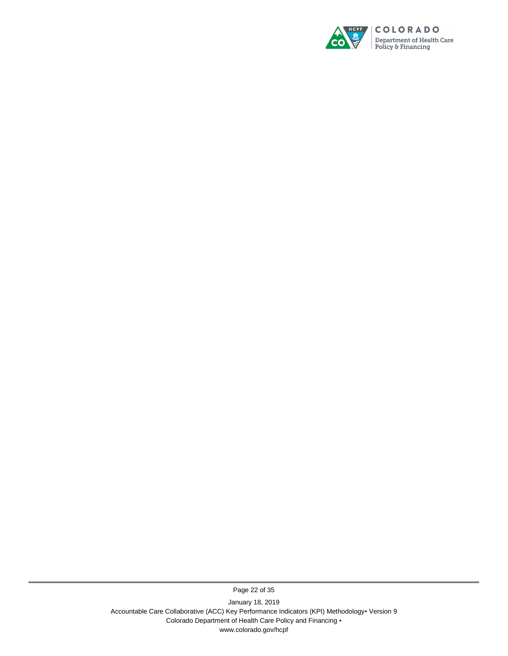

January 18, 2019 Accountable Care Collaborative (ACC) Key Performance Indicators (KPI) Methodology · Version 9 Colorado Department of Health Care Policy and Financing ▪ www.colorado.gov/hcpf

Page 22 of 35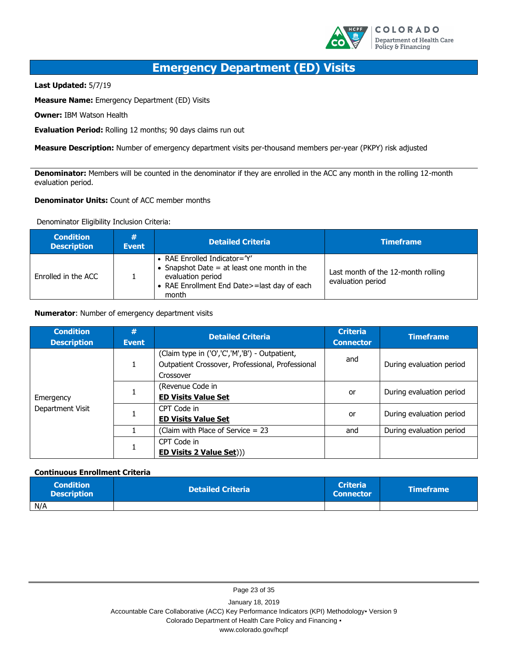

### **Emergency Department (ED) Visits**

**Last Updated:** 5/7/19

**Measure Name:** Emergency Department (ED) Visits

**Owner:** IBM Watson Health

**Evaluation Period:** Rolling 12 months; 90 days claims run out

**Measure Description:** Number of emergency department visits per-thousand members per-year (PKPY) risk adjusted

**Denominator:** Members will be counted in the denominator if they are enrolled in the ACC any month in the rolling 12-month evaluation period.

**Denominator Units:** Count of ACC member months

Denominator Eligibility Inclusion Criteria:

| <b>Condition</b><br><b>Description</b> | #<br><b>Event</b> | <b>Detailed Criteria</b>                                                                                                                                     | <b>Timeframe</b>                                        |
|----------------------------------------|-------------------|--------------------------------------------------------------------------------------------------------------------------------------------------------------|---------------------------------------------------------|
| Enrolled in the ACC                    |                   | • RAE Enrolled Indicator= $Y'$<br>• Snapshot Date $=$ at least one month in the<br>evaluation period<br>• RAE Enrollment End Date>=last day of each<br>month | Last month of the 12-month rolling<br>evaluation period |

**Numerator**: Number of emergency department visits

| <b>Condition</b><br><b>Description</b> | #<br><b>Event</b> | <b>Detailed Criteria</b>                                                                                        | <b>Criteria</b><br><b>Connector</b> | <b>Timeframe</b>         |
|----------------------------------------|-------------------|-----------------------------------------------------------------------------------------------------------------|-------------------------------------|--------------------------|
| Emergency<br>Department Visit          | $\mathbf{1}$      | (Claim type in ('O','C','M','B') - Outpatient,<br>Outpatient Crossover, Professional, Professional<br>Crossover | and                                 | During evaluation period |
|                                        | 1                 | (Revenue Code in<br><b>ED Visits Value Set</b>                                                                  | <b>or</b>                           | During evaluation period |
|                                        |                   | CPT Code in<br><b>ED Visits Value Set</b>                                                                       | or                                  | During evaluation period |
|                                        |                   | (Claim with Place of Service = 23                                                                               | and                                 | During evaluation period |
|                                        | 1                 | CPT Code in<br><b>ED Visits 2 Value Set)))</b>                                                                  |                                     |                          |

#### **Continuous Enrollment Criteria**

| <b>Condition</b><br><b>Description</b> | <b>Detailed Criteria</b> | <b>Criteria</b><br><b>Connector</b> | <b>\Timeframe \</b> |
|----------------------------------------|--------------------------|-------------------------------------|---------------------|
| N/A                                    |                          |                                     |                     |

Page 23 of 35

January 18, 2019 Accountable Care Collaborative (ACC) Key Performance Indicators (KPI) Methodology• Version 9 Colorado Department of Health Care Policy and Financing ▪ www.colorado.gov/hcpf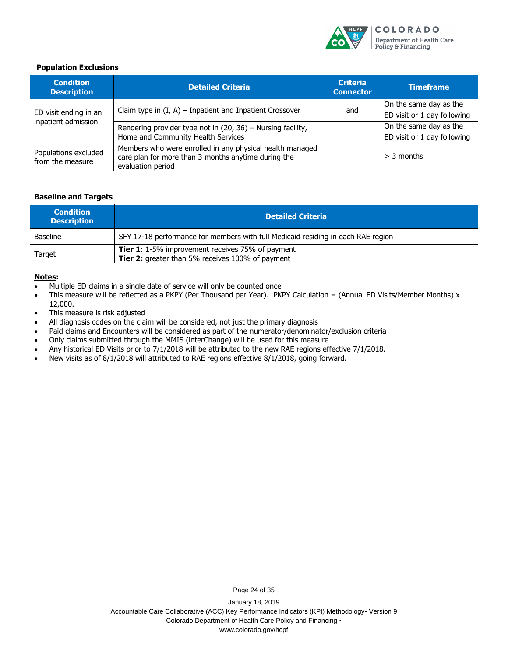

#### **Population Exclusions**

| <b>Condition</b><br><b>Description</b>       | <b>Detailed Criteria</b>                                                                                                             | <b>Criteria</b><br><b>Connector</b> | <b>Timeframe</b>            |
|----------------------------------------------|--------------------------------------------------------------------------------------------------------------------------------------|-------------------------------------|-----------------------------|
|                                              | Claim type in $(I, A)$ – Inpatient and Inpatient Crossover                                                                           | and                                 | On the same day as the      |
| ED visit ending in an<br>inpatient admission |                                                                                                                                      |                                     | ED visit or 1 day following |
|                                              | Rendering provider type not in (20, 36) - Nursing facility,                                                                          |                                     | On the same day as the      |
|                                              | Home and Community Health Services                                                                                                   |                                     | ED visit or 1 day following |
| Populations excluded<br>from the measure     | Members who were enrolled in any physical health managed<br>care plan for more than 3 months anytime during the<br>evaluation period |                                     | $>$ 3 months                |

#### **Baseline and Targets**

| <b>Condition</b><br><b>Description</b> | <b>Detailed Criteria</b>                                                                             |
|----------------------------------------|------------------------------------------------------------------------------------------------------|
| <b>Baseline</b>                        | SFY 17-18 performance for members with full Medicaid residing in each RAE region                     |
| Target                                 | Tier 1: 1-5% improvement receives 75% of payment<br>Tier 2: greater than 5% receives 100% of payment |

#### **Notes:**

- Multiple ED claims in a single date of service will only be counted once
- This measure will be reflected as a PKPY (Per Thousand per Year). PKPY Calculation = (Annual ED Visits/Member Months) x 12,000.
- This measure is risk adjusted
- All diagnosis codes on the claim will be considered, not just the primary diagnosis
- Paid claims and Encounters will be considered as part of the numerator/denominator/exclusion criteria
- Only claims submitted through the MMIS (interChange) will be used for this measure
- Any historical ED Visits prior to 7/1/2018 will be attributed to the new RAE regions effective 7/1/2018.
- New visits as of 8/1/2018 will attributed to RAE regions effective 8/1/2018, going forward.

Page 24 of 35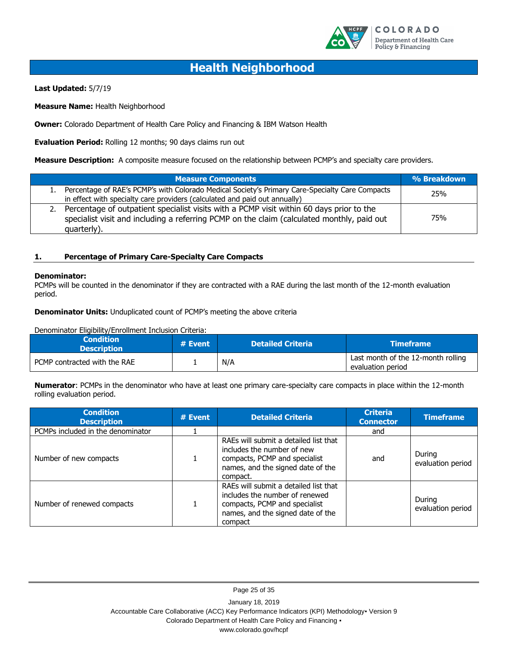

### **Health Neighborhood**

#### **Last Updated:** 5/7/19

**Measure Name:** Health Neighborhood

**Owner:** Colorado Department of Health Care Policy and Financing & IBM Watson Health

**Evaluation Period:** Rolling 12 months; 90 days claims run out

**Measure Description:** A composite measure focused on the relationship between PCMP's and specialty care providers.

| <b>Measure Components</b>                                                                                                                                                                                | % Breakdown |
|----------------------------------------------------------------------------------------------------------------------------------------------------------------------------------------------------------|-------------|
| Percentage of RAE's PCMP's with Colorado Medical Society's Primary Care-Specialty Care Compacts<br>in effect with specialty care providers (calculated and paid out annually)                            | 25%         |
| 2. Percentage of outpatient specialist visits with a PCMP visit within 60 days prior to the<br>specialist visit and including a referring PCMP on the claim (calculated monthly, paid out<br>quarterly). | 75%         |

#### **1. Percentage of Primary Care-Specialty Care Compacts**

#### **Denominator:**

PCMPs will be counted in the denominator if they are contracted with a RAE during the last month of the 12-month evaluation period.

**Denominator Units:** Unduplicated count of PCMP's meeting the above criteria

Denominator Eligibility/Enrollment Inclusion Criteria:

| <b>Condition</b><br><b>Description</b> | # Event | <b>Detailed Criteria</b> | <b>NTimeframe</b>                                       |
|----------------------------------------|---------|--------------------------|---------------------------------------------------------|
| PCMP contracted with the RAE           |         | N/A                      | Last month of the 12-month rolling<br>evaluation period |

**Numerator**: PCMPs in the denominator who have at least one primary care-specialty care compacts in place within the 12-month rolling evaluation period.

| <b>Condition</b><br><b>Description</b> | # Event | <b>Detailed Criteria</b>                                                                                                                                 | <b>Criteria</b><br><b>Connector</b> | <b>Timeframe</b>            |
|----------------------------------------|---------|----------------------------------------------------------------------------------------------------------------------------------------------------------|-------------------------------------|-----------------------------|
| PCMPs included in the denominator      |         |                                                                                                                                                          | and                                 |                             |
| Number of new compacts                 |         | RAEs will submit a detailed list that<br>includes the number of new<br>compacts, PCMP and specialist<br>names, and the signed date of the<br>compact.    | and                                 | During<br>evaluation period |
| Number of renewed compacts             |         | RAEs will submit a detailed list that<br>includes the number of renewed<br>compacts, PCMP and specialist<br>names, and the signed date of the<br>compact |                                     | During<br>evaluation period |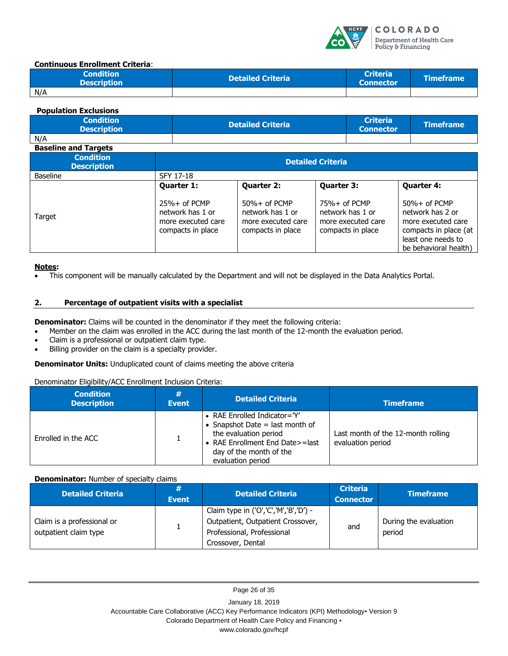

#### **Continuous Enrollment Criteria**:

| Condition <b>\</b><br><b>Description</b> | <b>Detailed Criteria</b> | <b>Criteria</b><br><b>Connector</b> | <b>\Timeframe \</b> |
|------------------------------------------|--------------------------|-------------------------------------|---------------------|
| N/A                                      |                          |                                     |                     |

**Population Exclusions** 

| Condition<br><b>Description</b> | <b>Detailed Criteria</b> | <b>Criteria</b><br><b>Connector</b> | <b>\Timeframe</b> |
|---------------------------------|--------------------------|-------------------------------------|-------------------|
| N/A                             |                          |                                     |                   |

 $|N/A$ 

| <b>Baseline and Targets</b>            |                                                                                |                                                                                 |                                                                                |                                                                                                                                    |
|----------------------------------------|--------------------------------------------------------------------------------|---------------------------------------------------------------------------------|--------------------------------------------------------------------------------|------------------------------------------------------------------------------------------------------------------------------------|
| <b>Condition</b><br><b>Description</b> | <b>Detailed Criteria</b>                                                       |                                                                                 |                                                                                |                                                                                                                                    |
| <b>Baseline</b>                        | SFY 17-18                                                                      |                                                                                 |                                                                                |                                                                                                                                    |
|                                        | <b>Quarter 1:</b>                                                              | Quarter 2:                                                                      | Quarter 3:                                                                     | Quarter 4:                                                                                                                         |
| Target                                 | $25% +$ of PCMP<br>network has 1 or<br>more executed care<br>compacts in place | $50\% +$ of PCMP<br>network has 1 or<br>more executed care<br>compacts in place | $75% +$ of PCMP<br>network has 1 or<br>more executed care<br>compacts in place | $50\% +$ of PCMP<br>network has 2 or<br>more executed care<br>compacts in place (at<br>least one needs to<br>be behavioral health) |

#### **Notes:**

• This component will be manually calculated by the Department and will not be displayed in the Data Analytics Portal.

#### **2. Percentage of outpatient visits with a specialist**

**Denominator:** Claims will be counted in the denominator if they meet the following criteria:

- Member on the claim was enrolled in the ACC during the last month of the 12-month the evaluation period.
- Claim is a professional or outpatient claim type.
- Billing provider on the claim is a specialty provider.

**Denominator Units:** Unduplicated count of claims meeting the above criteria

#### Denominator Eligibility/ACC Enrollment Inclusion Criteria:

| <b>Condition</b><br><b>Description</b> | #<br><b>Event</b> | <b>Detailed Criteria</b>                                                                                                                                                        | <b>Timeframe</b>                                        |
|----------------------------------------|-------------------|---------------------------------------------------------------------------------------------------------------------------------------------------------------------------------|---------------------------------------------------------|
| Enrolled in the ACC                    |                   | • RAE Enrolled Indicator= $Y'$<br>• Snapshot Date $=$ last month of<br>the evaluation period<br>• RAE Enrollment End Date>=last<br>day of the month of the<br>evaluation period | Last month of the 12-month rolling<br>evaluation period |

#### **Denominator:** Number of specialty claims

| <b>Detailed Criteria</b>                            | #<br><b>Event</b> | <b>Detailed Criteria</b>                                                                                                      | <b>Criteria</b><br><b>Connector</b> | <b>Timeframe</b>                |
|-----------------------------------------------------|-------------------|-------------------------------------------------------------------------------------------------------------------------------|-------------------------------------|---------------------------------|
| Claim is a professional or<br>outpatient claim type |                   | Claim type in ('O','C','M','B','D') -<br>Outpatient, Outpatient Crossover,<br>Professional, Professional<br>Crossover, Dental | and                                 | During the evaluation<br>period |

Page 26 of 35

January 18, 2019 Accountable Care Collaborative (ACC) Key Performance Indicators (KPI) Methodology · Version 9 Colorado Department of Health Care Policy and Financing ▪ www.colorado.gov/hcpf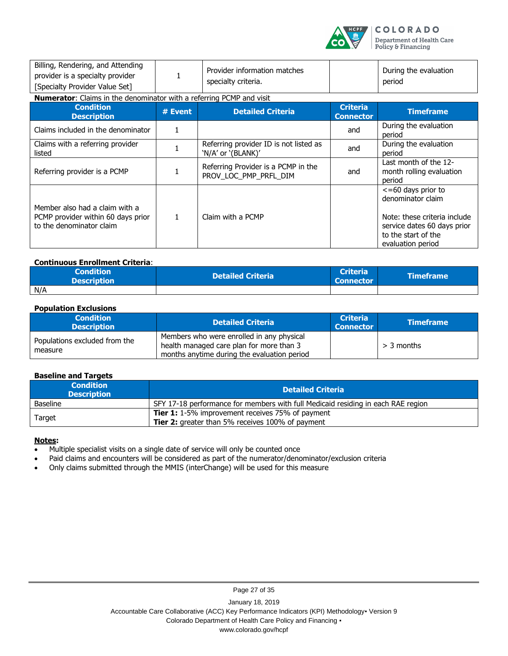

| Billing, Rendering, and Attending<br>provider is a specialty provider<br>[Specialty Provider Value Set] |              | Provider information matches<br>specialty criteria.          |                  | During the evaluation<br>period                                                                                                                      |
|---------------------------------------------------------------------------------------------------------|--------------|--------------------------------------------------------------|------------------|------------------------------------------------------------------------------------------------------------------------------------------------------|
| <b>Numerator:</b> Claims in the denominator with a referring PCMP and visit<br><b>Condition</b>         |              |                                                              | <b>Criteria</b>  |                                                                                                                                                      |
| <b>Description</b>                                                                                      | # Event      | <b>Detailed Criteria</b>                                     | <b>Connector</b> | <b>Timeframe</b>                                                                                                                                     |
| Claims included in the denominator                                                                      | 1            |                                                              | and              | During the evaluation<br>period                                                                                                                      |
| Claims with a referring provider<br>listed                                                              |              | Referring provider ID is not listed as<br>'N/A' or '(BLANK)' | and              | During the evaluation<br>period                                                                                                                      |
| Referring provider is a PCMP                                                                            |              | Referring Provider is a PCMP in the<br>PROV LOC PMP PRFL DIM | and              | Last month of the 12-<br>month rolling evaluation<br>period                                                                                          |
| Member also had a claim with a<br>PCMP provider within 60 days prior<br>to the denominator claim        | $\mathbf{1}$ | Claim with a PCMP                                            |                  | $<=60$ days prior to<br>denominator claim<br>Note: these criteria include<br>service dates 60 days prior<br>to the start of the<br>evaluation period |

#### **Continuous Enrollment Criteria**:

| <b>Condition</b><br><b>Description</b> | <b>Detailed Criteria</b> | Criteria<br><b>Connector</b> | <b>\Timeframe</b> \ |
|----------------------------------------|--------------------------|------------------------------|---------------------|
| N/A                                    |                          |                              |                     |

#### **Population Exclusions**

| <b>Condition</b><br><b>Description</b>   | <b>Detailed Criteria</b>                                                                                                             | <b>Criteria</b><br><b>Connector</b> | <b>Timeframe</b> |
|------------------------------------------|--------------------------------------------------------------------------------------------------------------------------------------|-------------------------------------|------------------|
| Populations excluded from the<br>measure | Members who were enrolled in any physical<br>health managed care plan for more than 3<br>months anytime during the evaluation period |                                     | $>$ 3 months     |

#### **Baseline and Targets**

| <b>Condition</b><br><b>Description</b> | <b>Detailed Criteria</b>                                                                                           |  |  |  |
|----------------------------------------|--------------------------------------------------------------------------------------------------------------------|--|--|--|
| <b>Baseline</b>                        | SFY 17-18 performance for members with full Medicaid residing in each RAE region                                   |  |  |  |
| Target                                 | <b>Tier 1:</b> 1-5% improvement receives 75% of payment<br><b>Tier 2:</b> greater than 5% receives 100% of payment |  |  |  |

#### **Notes:**

- Multiple specialist visits on a single date of service will only be counted once
- Paid claims and encounters will be considered as part of the numerator/denominator/exclusion criteria
- Only claims submitted through the MMIS (interChange) will be used for this measure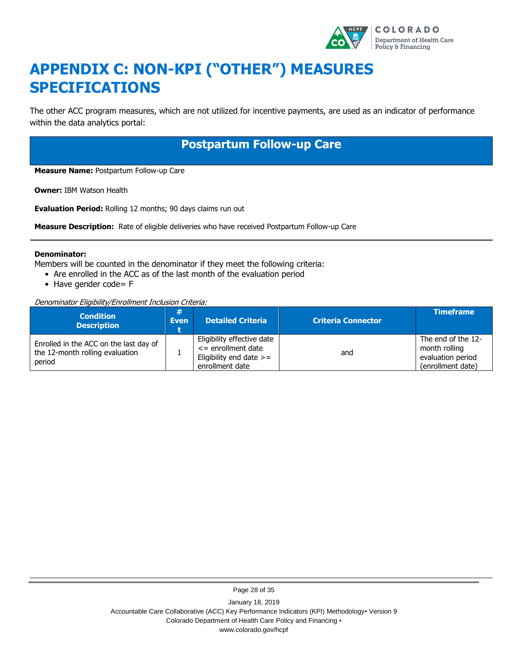

# <span id="page-32-0"></span>**APPENDIX C: NON-KPI ("OTHER") MEASURES SPECIFICATIONS**

The other ACC program measures, which are not utilized for incentive payments, are used as an indicator of performance within the data analytics portal:

### **Postpartum Follow-up Care**

**Measure Name:** Postpartum Follow-up Care

**Owner:** IBM Watson Health

**Evaluation Period:** Rolling 12 months; 90 days claims run out

**Measure Description:** Rate of eligible deliveries who have received Postpartum Follow-up Care

#### **Denominator:**

Members will be counted in the denominator if they meet the following criteria:

- Are enrolled in the ACC as of the last month of the evaluation period
- Have gender code= F

Denominator Eligibility/Enrollment Inclusion Criteria:

| <b>Condition</b><br><b>Description</b>                                              | #<br><b>Even</b> | <b>Detailed Criteria</b>                                                                             | <b>Criteria Connector</b> | <b>Timeframe</b>                                                              |
|-------------------------------------------------------------------------------------|------------------|------------------------------------------------------------------------------------------------------|---------------------------|-------------------------------------------------------------------------------|
| Enrolled in the ACC on the last day of<br>the 12-month rolling evaluation<br>period |                  | Eligibility effective date<br>$\leq$ enrollment date<br>Eligibility end date $>=$<br>enrollment date | and                       | The end of the 12-<br>month rolling<br>evaluation period<br>(enrollment date) |

Page 28 of 35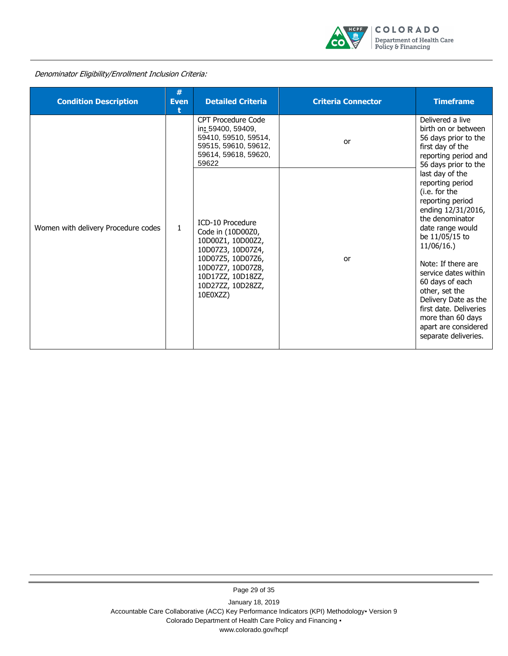

Denominator Eligibility/Enrollment Inclusion Criteria:

| <b>Condition Description</b>        | #<br><b>Even</b><br>ŧ | <b>Detailed Criteria</b>                                                                                                                                                               | <b>Criteria Connector</b> | <b>Timeframe</b>                                                                                                                                                                                                                                                                                                                                                               |
|-------------------------------------|-----------------------|----------------------------------------------------------------------------------------------------------------------------------------------------------------------------------------|---------------------------|--------------------------------------------------------------------------------------------------------------------------------------------------------------------------------------------------------------------------------------------------------------------------------------------------------------------------------------------------------------------------------|
|                                     |                       | <b>CPT Procedure Code</b><br>in: 59400, 59409,<br>59410, 59510, 59514,<br>59515, 59610, 59612,<br>59614, 59618, 59620,<br>59622                                                        | <b>or</b>                 | Delivered a live<br>birth on or between<br>56 days prior to the<br>first day of the<br>reporting period and<br>56 days prior to the                                                                                                                                                                                                                                            |
| Women with delivery Procedure codes | 1                     | <b>ICD-10 Procedure</b><br>Code in (10D00Z0,<br>10D00Z1, 10D00Z2,<br>10D07Z3, 10D07Z4,<br>10D07Z5, 10D07Z6,<br>10D07Z7, 10D07Z8,<br>10D17ZZ, 10D18ZZ,<br>10D27ZZ, 10D28ZZ,<br>10E0XZZ) | or                        | last day of the<br>reporting period<br>(i.e. for the<br>reporting period<br>ending 12/31/2016,<br>the denominator<br>date range would<br>be 11/05/15 to<br>11/06/16.<br>Note: If there are<br>service dates within<br>60 days of each<br>other, set the<br>Delivery Date as the<br>first date. Deliveries<br>more than 60 days<br>apart are considered<br>separate deliveries. |

Page 29 of 35

January 18, 2019 Accountable Care Collaborative (ACC) Key Performance Indicators (KPI) Methodology · Version 9 Colorado Department of Health Care Policy and Financing ▪ www.colorado.gov/hcpf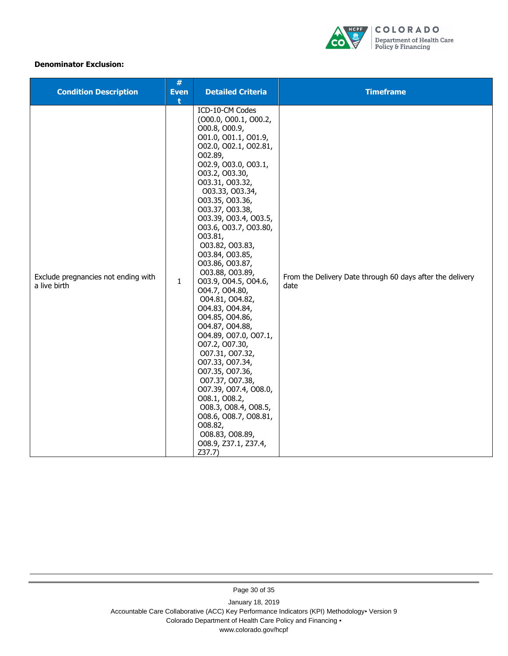

#### **Denominator Exclusion:**

| <b>Condition Description</b>                        | $\#$<br><b>Even</b><br>t | <b>Detailed Criteria</b>                                                                                                                                                                                                                                                                                                                                                                                                                                                                                                                                                                                                                                                                                                                                                                     | <b>Timeframe</b>                                                  |
|-----------------------------------------------------|--------------------------|----------------------------------------------------------------------------------------------------------------------------------------------------------------------------------------------------------------------------------------------------------------------------------------------------------------------------------------------------------------------------------------------------------------------------------------------------------------------------------------------------------------------------------------------------------------------------------------------------------------------------------------------------------------------------------------------------------------------------------------------------------------------------------------------|-------------------------------------------------------------------|
| Exclude pregnancies not ending with<br>a live birth | $\mathbf{1}$             | ICD-10-CM Codes<br>(000.0, 000.1, 000.2,<br>O00.8, O00.9,<br>001.0, 001.1, 001.9,<br>002.0, 002.1, 002.81,<br>O02.89,<br>002.9, 003.0, 003.1,<br>003.2, 003.30,<br>003.31, 003.32,<br>003.33, 003.34,<br>003.35, 003.36,<br>003.37, 003.38,<br>003.39, 003.4, 003.5,<br>003.6, 003.7, 003.80,<br>003.81,<br>003.82, 003.83,<br>003.84, 003.85,<br>003.86, 003.87,<br>003.88, 003.89,<br>003.9, 004.5, 004.6,<br>O04.7, O04.80,<br>004.81, 004.82,<br>004.83, 004.84,<br>004.85, 004.86,<br>004.87, 004.88,<br>004.89, 007.0, 007.1,<br>O07.2, O07.30,<br>007.31, 007.32,<br>007.33, 007.34,<br>007.35, 007.36,<br>007.37, 007.38,<br>O07.39, O07.4, O08.0,<br>008.1, 008.2,<br>008.3, 008.4, 008.5,<br>008.6, 008.7, 008.81,<br>O08.82,<br>008.83, 008.89,<br>O08.9, Z37.1, Z37.4,<br>Z37.7) | From the Delivery Date through 60 days after the delivery<br>date |

Page 30 of 35 January 18, 2019

Accountable Care Collaborative (ACC) Key Performance Indicators (KPI) Methodology · Version 9 Colorado Department of Health Care Policy and Financing ▪ www.colorado.gov/hcpf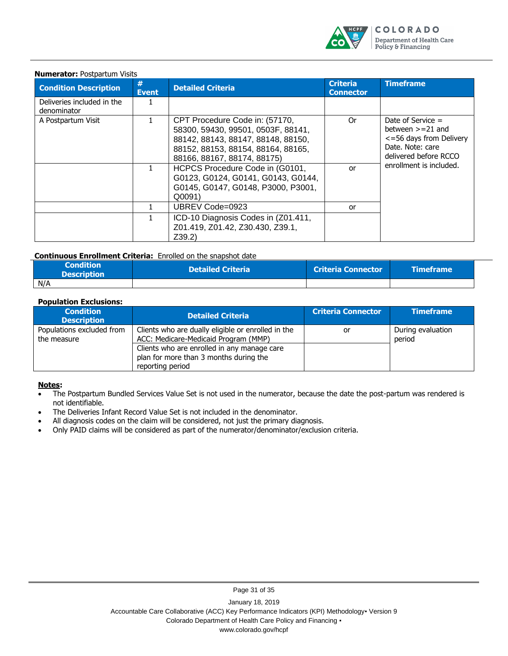

| <b>Numerator:</b> rostpartum visits<br><b>Condition Description</b> | #<br><b>Event</b> | <b>Detailed Criteria</b>                                                                                                                                                        | <b>Criteria</b><br><b>Connector</b> | <b>Timeframe</b>                                                                                                            |
|---------------------------------------------------------------------|-------------------|---------------------------------------------------------------------------------------------------------------------------------------------------------------------------------|-------------------------------------|-----------------------------------------------------------------------------------------------------------------------------|
| Deliveries included in the<br>denominator                           |                   |                                                                                                                                                                                 |                                     |                                                                                                                             |
| A Postpartum Visit                                                  | 1.                | CPT Procedure Code in: (57170,<br>58300, 59430, 99501, 0503F, 88141,<br>88142, 88143, 88147, 88148, 88150,<br>88152, 88153, 88154, 88164, 88165,<br>88166, 88167, 88174, 88175) | 0r                                  | Date of Service $=$<br>between $>=21$ and<br>$\epsilon$ =56 days from Delivery<br>Date. Note: care<br>delivered before RCCO |
|                                                                     |                   | HCPCS Procedure Code in (G0101,<br>G0123, G0124, G0141, G0143, G0144,<br>G0145, G0147, G0148, P3000, P3001,<br>Q0091                                                            | <b>or</b>                           | enrollment is included.                                                                                                     |
|                                                                     |                   | UBREV Code=0923                                                                                                                                                                 | or                                  |                                                                                                                             |
|                                                                     | 1                 | ICD-10 Diagnosis Codes in (Z01.411,<br>Z01.419, Z01.42, Z30.430, Z39.1,<br>Z39.2                                                                                                |                                     |                                                                                                                             |

#### **Numerator:** Postpartum Visits

#### **Continuous Enrollment Criteria:** Enrolled on the snapshot date

| <b>Condition</b><br>$\mathsf{\mathsf{LDescription}}$ | <b>Detailed Criteria</b> | Criteria Connector | <b>Nimeframe</b> |
|------------------------------------------------------|--------------------------|--------------------|------------------|
| N/A                                                  |                          |                    |                  |

#### **Population Exclusions:**

| <b>Condition</b><br><b>Description</b>   | <b>Detailed Criteria</b>                                                                                  | <b>Criteria Connector</b> | <b>Timeframe</b>            |
|------------------------------------------|-----------------------------------------------------------------------------------------------------------|---------------------------|-----------------------------|
| Populations excluded from<br>the measure | Clients who are dually eligible or enrolled in the<br>ACC: Medicare-Medicaid Program (MMP)                | or                        | During evaluation<br>period |
|                                          | Clients who are enrolled in any manage care<br>plan for more than 3 months during the<br>reporting period |                           |                             |

#### **Notes:**

- The Postpartum Bundled Services Value Set is not used in the numerator, because the date the post-partum was rendered is not identifiable.
- The Deliveries Infant Record Value Set is not included in the denominator.
- All diagnosis codes on the claim will be considered, not just the primary diagnosis.
- Only PAID claims will be considered as part of the numerator/denominator/exclusion criteria.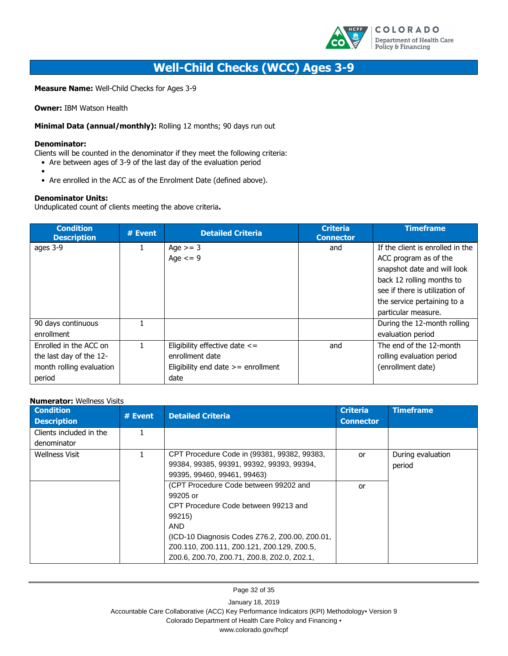

### **Well-Child Checks (WCC) Ages 3-9**

**Measure Name:** Well-Child Checks for Ages 3-9

**Owner:** IBM Watson Health

**Minimal Data (annual/monthly):** Rolling 12 months; 90 days run out

#### **Denominator:**

Clients will be counted in the denominator if they meet the following criteria:

- Are between ages of 3-9 of the last day of the evaluation period
- • Are enrolled in the ACC as of the Enrolment Date (defined above).

#### **Denominator Units:**

Unduplicated count of clients meeting the above criteria**.**

| <b>Condition</b><br><b>Description</b>                                                  | # Event | <b>Detailed Criteria</b>                                                                              | <b>Criteria</b><br><b>Connector</b> | <b>Timeframe</b>                                                                                                                                                                       |
|-----------------------------------------------------------------------------------------|---------|-------------------------------------------------------------------------------------------------------|-------------------------------------|----------------------------------------------------------------------------------------------------------------------------------------------------------------------------------------|
| ages 3-9                                                                                |         | Age $>=$ 3<br>Age $\le$ = 9                                                                           | and                                 | If the client is enrolled in the<br>ACC program as of the<br>snapshot date and will look<br>back 12 rolling months to<br>see if there is utilization of<br>the service pertaining to a |
|                                                                                         |         |                                                                                                       |                                     | particular measure.                                                                                                                                                                    |
| 90 days continuous                                                                      |         |                                                                                                       |                                     | During the 12-month rolling                                                                                                                                                            |
| enrollment                                                                              |         |                                                                                                       |                                     | evaluation period                                                                                                                                                                      |
| Enrolled in the ACC on<br>the last day of the 12-<br>month rolling evaluation<br>period |         | Eligibility effective date $\le$ =<br>enrollment date<br>Eligibility end date $>=$ enrollment<br>date | and                                 | The end of the 12-month<br>rolling evaluation period<br>(enrollment date)                                                                                                              |

#### **Numerator:** Wellness Visits

| <b>Condition</b><br><b>Description</b> | # Event | <b>Detailed Criteria</b>                       | <b>Criteria</b><br><b>Connector</b> | <b>Timeframe</b>  |
|----------------------------------------|---------|------------------------------------------------|-------------------------------------|-------------------|
| Clients included in the                |         |                                                |                                     |                   |
| denominator                            |         |                                                |                                     |                   |
| <b>Wellness Visit</b>                  |         | CPT Procedure Code in (99381, 99382, 99383,    | 0r                                  | During evaluation |
|                                        |         | 99384, 99385, 99391, 99392, 99393, 99394,      |                                     | period            |
|                                        |         | 99395, 99460, 99461, 99463)                    |                                     |                   |
|                                        |         | (CPT Procedure Code between 99202 and          | or                                  |                   |
|                                        |         | 99205 or                                       |                                     |                   |
|                                        |         | CPT Procedure Code between 99213 and           |                                     |                   |
|                                        |         | 99215)                                         |                                     |                   |
|                                        |         | <b>AND</b>                                     |                                     |                   |
|                                        |         | (ICD-10 Diagnosis Codes Z76.2, Z00.00, Z00.01, |                                     |                   |
|                                        |         | Z00.110, Z00.111, Z00.121, Z00.129, Z00.5,     |                                     |                   |
|                                        |         | Z00.6, Z00.70, Z00.71, Z00.8, Z02.0, Z02.1,    |                                     |                   |

January 18, 2019 Accountable Care Collaborative (ACC) Key Performance Indicators (KPI) Methodology• Version 9 Colorado Department of Health Care Policy and Financing ▪ www.colorado.gov/hcpf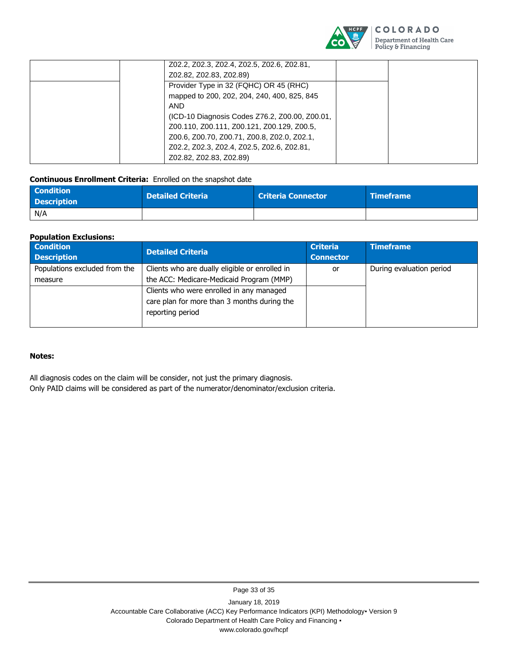

| Z02.2, Z02.3, Z02.4, Z02.5, Z02.6, Z02.81,     |  |
|------------------------------------------------|--|
| Z02.82, Z02.83, Z02.89)                        |  |
| Provider Type in 32 (FQHC) OR 45 (RHC)         |  |
| mapped to 200, 202, 204, 240, 400, 825, 845    |  |
| <b>AND</b>                                     |  |
| (ICD-10 Diagnosis Codes Z76.2, Z00.00, Z00.01, |  |
| Z00.110, Z00.111, Z00.121, Z00.129, Z00.5,     |  |
| Z00.6, Z00.70, Z00.71, Z00.8, Z02.0, Z02.1,    |  |
| Z02.2, Z02.3, Z02.4, Z02.5, Z02.6, Z02.81,     |  |
| Z02.82, Z02.83, Z02.89)                        |  |

#### **Continuous Enrollment Criteria:** Enrolled on the snapshot date

| <b>Condition</b><br><b>Description</b> | <b>Detailed Criteria</b> | <b>Criteria Connector</b> | Timeframe |
|----------------------------------------|--------------------------|---------------------------|-----------|
| N/A                                    |                          |                           |           |

#### **Population Exclusions:**

| <b>Condition</b><br><b>Description</b> | <b>Detailed Criteria</b>                       | <b>Criteria</b><br><b>Connector</b> | <b>Timeframe</b>         |
|----------------------------------------|------------------------------------------------|-------------------------------------|--------------------------|
| Populations excluded from the          | Clients who are dually eligible or enrolled in | or                                  | During evaluation period |
| measure                                | the ACC: Medicare-Medicaid Program (MMP)       |                                     |                          |
|                                        | Clients who were enrolled in any managed       |                                     |                          |
|                                        | care plan for more than 3 months during the    |                                     |                          |
|                                        | reporting period                               |                                     |                          |
|                                        |                                                |                                     |                          |

#### **Notes:**

All diagnosis codes on the claim will be consider, not just the primary diagnosis.

Only PAID claims will be considered as part of the numerator/denominator/exclusion criteria.

January 18, 2019 Accountable Care Collaborative (ACC) Key Performance Indicators (KPI) Methodology Version 9 Colorado Department of Health Care Policy and Financing ▪ www.colorado.gov/hcpf

Page 33 of 35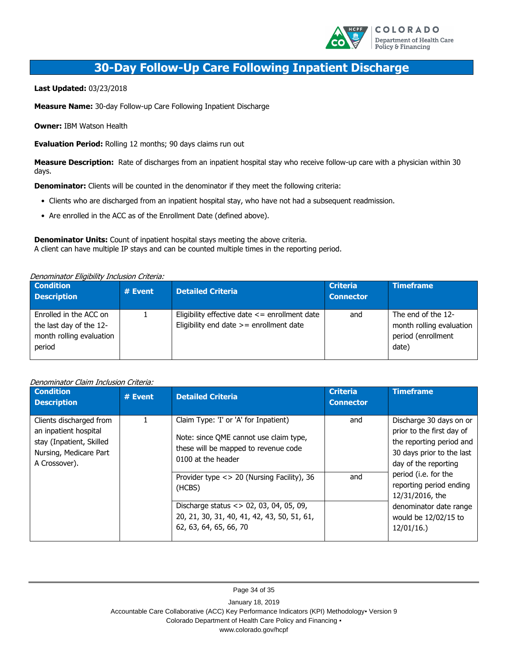

### **30-Day Follow-Up Care Following Inpatient Discharge**

**Last Updated:** 03/23/2018

**Measure Name:** 30-day Follow-up Care Following Inpatient Discharge

**Owner:** IBM Watson Health

**Evaluation Period:** Rolling 12 months; 90 days claims run out

**Measure Description:** Rate of discharges from an inpatient hospital stay who receive follow-up care with a physician within 30 days.

**Denominator:** Clients will be counted in the denominator if they meet the following criteria:

- Clients who are discharged from an inpatient hospital stay, who have not had a subsequent readmission.
- Are enrolled in the ACC as of the Enrollment Date (defined above).

**Denominator Units:** Count of inpatient hospital stays meeting the above criteria. A client can have multiple IP stays and can be counted multiple times in the reporting period.

#### Denominator Eligibility Inclusion Criteria:

| <b>Condition</b><br><b>Description</b>                                                  | # Event | <b>Detailed Criteria</b>                                                                       | <b>Criteria</b><br><b>Connector</b> | <b>Timeframe</b>                                                              |
|-----------------------------------------------------------------------------------------|---------|------------------------------------------------------------------------------------------------|-------------------------------------|-------------------------------------------------------------------------------|
| Enrolled in the ACC on<br>the last day of the 12-<br>month rolling evaluation<br>period |         | Eligibility effective date $\leq$ enrollment date<br>Eligibility end date $>=$ enrollment date | and                                 | The end of the 12-<br>month rolling evaluation<br>period (enrollment<br>date) |

| <b>Condition</b><br><b>Description</b>                                                                                  | # Event | <b>Detailed Criteria</b>                                                                                                                                                                              | <b>Criteria</b><br><b>Connector</b> | <b>Timeframe</b>                                                                                                                                                                         |
|-------------------------------------------------------------------------------------------------------------------------|---------|-------------------------------------------------------------------------------------------------------------------------------------------------------------------------------------------------------|-------------------------------------|------------------------------------------------------------------------------------------------------------------------------------------------------------------------------------------|
| Clients discharged from<br>an inpatient hospital<br>stay (Inpatient, Skilled<br>Nursing, Medicare Part<br>A Crossover). |         | Claim Type: 'I' or 'A' for Inpatient)<br>Note: since QME cannot use claim type,<br>these will be mapped to revenue code<br>0100 at the header<br>Provider type <> 20 (Nursing Facility), 36<br>(HCBS) | and<br>and                          | Discharge 30 days on or<br>prior to the first day of<br>the reporting period and<br>30 days prior to the last<br>day of the reporting<br>period (i.e. for the<br>reporting period ending |
|                                                                                                                         |         | 20, 21, 30, 31, 40, 41, 42, 43, 50, 51, 61,<br>62, 63, 64, 65, 66, 70                                                                                                                                 |                                     | 12/31/2016, the<br>denominator date range<br>would be 12/02/15 to<br>12/01/16.                                                                                                           |

#### Denominator Claim Inclusion Criteria: